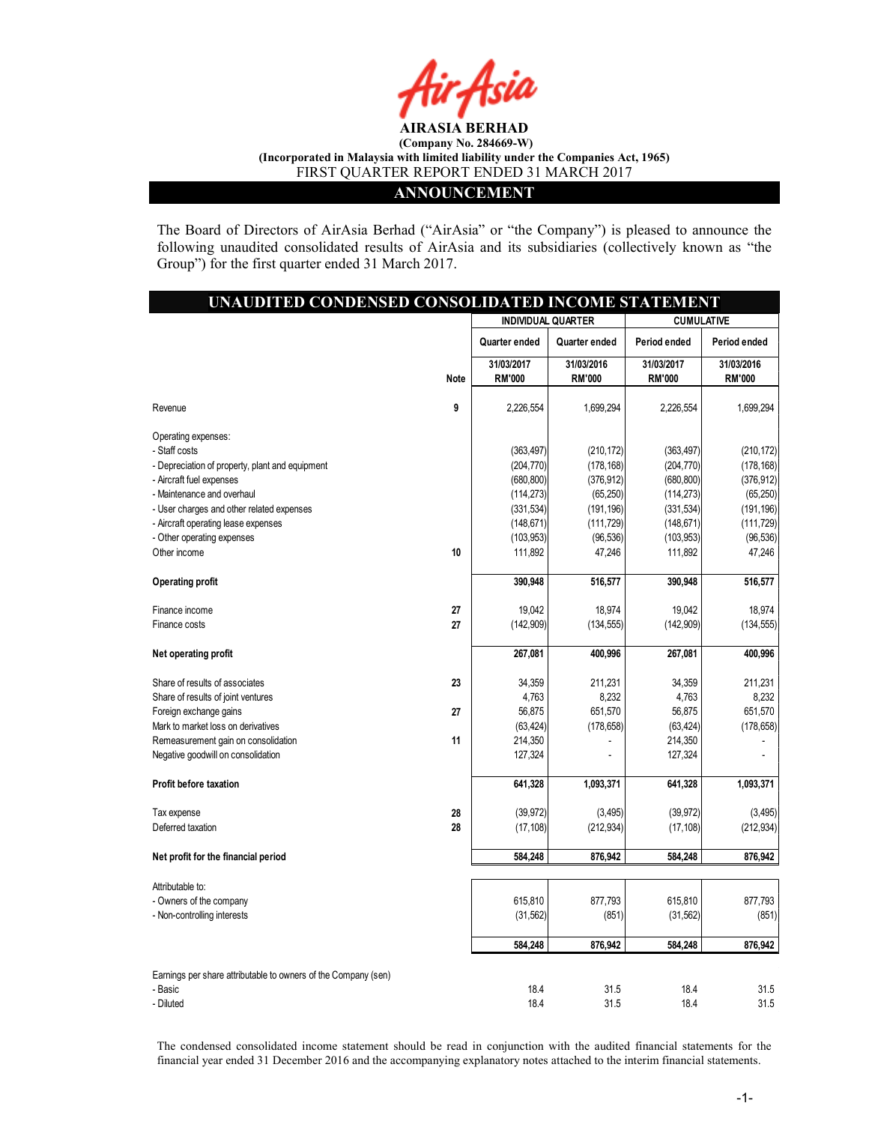

#### ANNOUNCEMENT

The Board of Directors of AirAsia Berhad ("AirAsia" or "the Company") is pleased to announce the following unaudited consolidated results of AirAsia and its subsidiaries (collectively known as "the Group") for the first quarter ended 31 March 2017.

| UNAUDITED CONDENSED CONSOLIDATED INCOME STATEMENT              |      |                             |                             |                             |                             |
|----------------------------------------------------------------|------|-----------------------------|-----------------------------|-----------------------------|-----------------------------|
|                                                                |      | <b>INDIVIDUAL QUARTER</b>   |                             | <b>CUMULATIVE</b>           |                             |
|                                                                |      | Quarter ended               | Quarter ended               | Period ended                | Period ended                |
|                                                                | Note | 31/03/2017<br><b>RM'000</b> | 31/03/2016<br><b>RM'000</b> | 31/03/2017<br><b>RM'000</b> | 31/03/2016<br><b>RM'000</b> |
| Revenue                                                        | 9    | 2,226,554                   | 1,699,294                   | 2,226,554                   | 1,699,294                   |
| Operating expenses:                                            |      |                             |                             |                             |                             |
| - Staff costs                                                  |      | (363, 497)                  | (210, 172)                  | (363, 497)                  | (210, 172)                  |
| - Depreciation of property, plant and equipment                |      | (204, 770)                  | (178, 168)                  | (204, 770)                  | (178, 168)                  |
| - Aircraft fuel expenses                                       |      | (680, 800)                  | (376, 912)                  | (680, 800)                  | (376, 912)                  |
| - Maintenance and overhaul                                     |      | (114, 273)                  | (65, 250)                   | (114, 273)                  | (65, 250)                   |
| - User charges and other related expenses                      |      | (331, 534)                  | (191, 196)                  | (331, 534)                  | (191, 196)                  |
| - Aircraft operating lease expenses                            |      | (148, 671)                  | (111, 729)                  | (148, 671)                  | (111, 729)                  |
| - Other operating expenses                                     |      | (103, 953)                  | (96, 536)                   | (103, 953)                  | (96, 536)                   |
| Other income                                                   | 10   | 111,892                     | 47,246                      | 111,892                     | 47,246                      |
| <b>Operating profit</b>                                        |      | 390,948                     | 516,577                     | 390,948                     | 516,577                     |
| Finance income                                                 | 27   | 19,042                      | 18,974                      | 19,042                      | 18,974                      |
| Finance costs                                                  | 27   | (142, 909)                  | (134, 555)                  | (142, 909)                  | (134, 555)                  |
| Net operating profit                                           |      | 267,081                     | 400,996                     | 267,081                     | 400,996                     |
| Share of results of associates                                 | 23   | 34,359                      | 211,231                     | 34,359                      | 211,231                     |
| Share of results of joint ventures                             |      | 4,763                       | 8,232                       | 4,763                       | 8,232                       |
| Foreign exchange gains                                         | 27   | 56,875                      | 651,570                     | 56,875                      | 651,570                     |
| Mark to market loss on derivatives                             |      | (63, 424)                   | (178, 658)                  | (63, 424)                   | (178, 658)                  |
| Remeasurement gain on consolidation                            | 11   | 214,350                     |                             | 214,350                     |                             |
| Negative goodwill on consolidation                             |      | 127,324                     |                             | 127,324                     |                             |
| Profit before taxation                                         |      | 641,328                     | 1,093,371                   | 641,328                     | 1,093,371                   |
| Tax expense                                                    | 28   | (39, 972)                   | (3, 495)                    | (39, 972)                   | (3, 495)                    |
| Deferred taxation                                              | 28   | (17, 108)                   | (212, 934)                  | (17, 108)                   | (212, 934)                  |
| Net profit for the financial period                            |      | 584,248                     | 876,942                     | 584,248                     | 876,942                     |
| Attributable to:                                               |      |                             |                             |                             |                             |
| - Owners of the company                                        |      | 615,810                     | 877,793                     | 615,810                     | 877,793                     |
| - Non-controlling interests                                    |      | (31, 562)                   | (851)                       | (31, 562)                   | (851)                       |
|                                                                |      | 584,248                     | 876,942                     | 584,248                     | 876,942                     |
| Earnings per share attributable to owners of the Company (sen) |      |                             |                             |                             |                             |
| - Basic                                                        |      | 18.4                        | 31.5                        | 18.4                        | 31.5                        |
| - Diluted                                                      |      | 18.4                        | 31.5                        | 18.4                        | 31.5                        |

The condensed consolidated income statement should be read in conjunction with the audited financial statements for the financial year ended 31 December 2016 and the accompanying explanatory notes attached to the interim financial statements.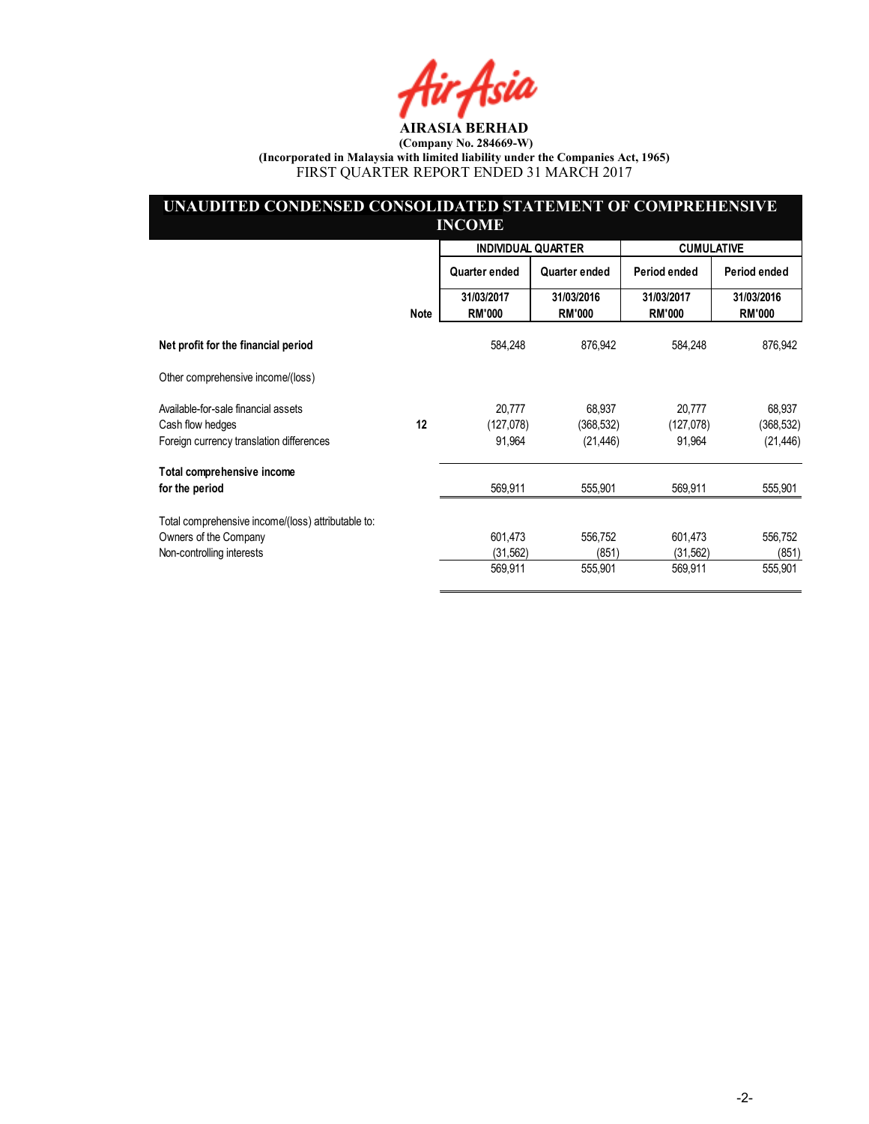Hir Asia

#### UNAUDITED CONDENSED CONSOLIDATED STATEMENT OF COMPREHENSIVE INCOME

|                                                    |             | <b>INDIVIDUAL QUARTER</b>   |                             | <b>CUMULATIVE</b>           |                             |
|----------------------------------------------------|-------------|-----------------------------|-----------------------------|-----------------------------|-----------------------------|
|                                                    |             | Quarter ended               | Quarter ended               | Period ended                | Period ended                |
|                                                    | <b>Note</b> | 31/03/2017<br><b>RM'000</b> | 31/03/2016<br><b>RM'000</b> | 31/03/2017<br><b>RM'000</b> | 31/03/2016<br><b>RM'000</b> |
| Net profit for the financial period                |             | 584,248                     | 876,942                     | 584,248                     | 876,942                     |
| Other comprehensive income/(loss)                  |             |                             |                             |                             |                             |
| Available-for-sale financial assets                |             | 20,777                      | 68,937                      | 20,777                      | 68,937                      |
| Cash flow hedges                                   | 12          | (127,078)                   | (368, 532)                  | (127,078)                   | (368, 532)                  |
| Foreign currency translation differences           |             | 91,964                      | (21, 446)                   | 91,964                      | (21, 446)                   |
| Total comprehensive income                         |             |                             |                             |                             |                             |
| for the period                                     |             | 569,911                     | 555,901                     | 569,911                     | 555,901                     |
| Total comprehensive income/(loss) attributable to: |             |                             |                             |                             |                             |
| Owners of the Company                              |             | 601,473                     | 556,752                     | 601,473                     | 556,752                     |
| Non-controlling interests                          |             | (31,562)                    | (851)                       | (31,562)                    | (851)                       |
|                                                    |             | 569,911                     | 555,901                     | 569,911                     | 555,901                     |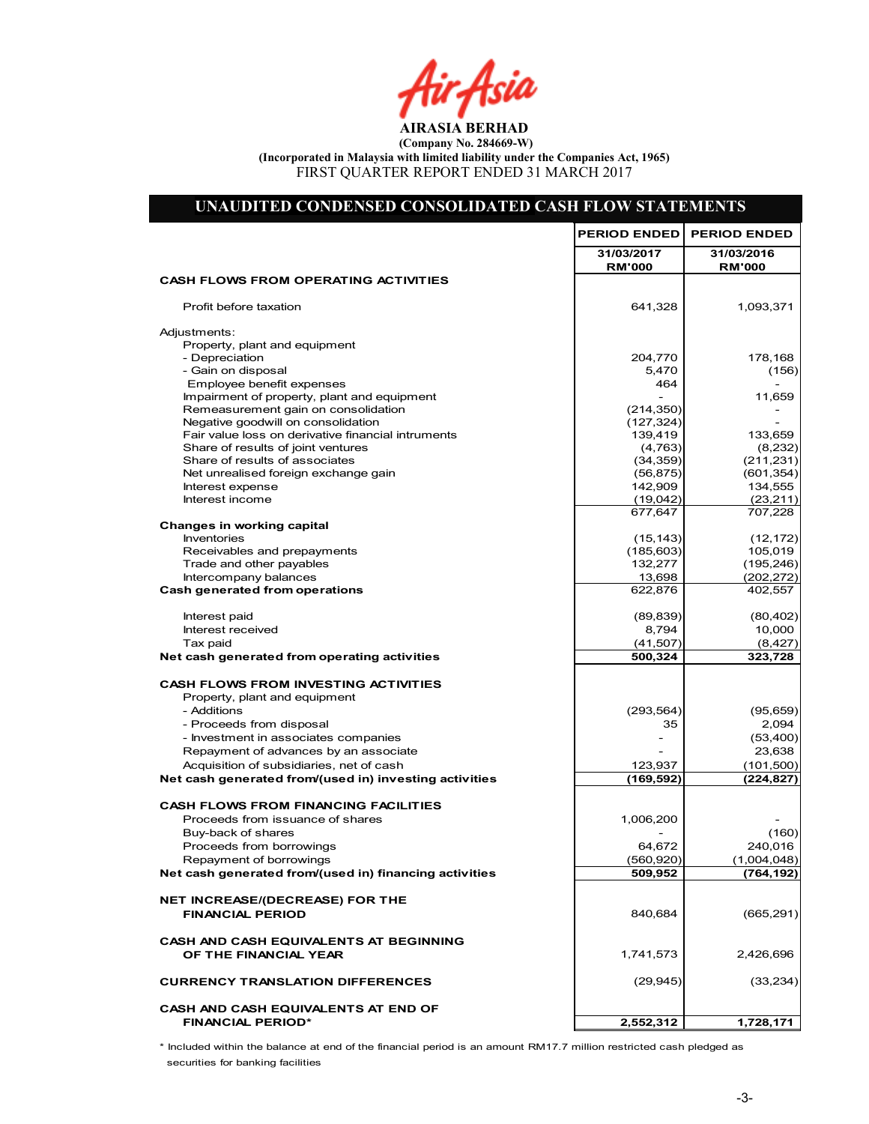Air Asia

# UNAUDITED CONDENSED CONSOLIDATED CASH FLOW STATEMENTS

|                                                                           | <b>PERIOD ENDED</b>         | <b>PERIOD ENDED</b>         |
|---------------------------------------------------------------------------|-----------------------------|-----------------------------|
|                                                                           | 31/03/2017<br><b>RM'000</b> | 31/03/2016<br><b>RM'000</b> |
| <b>CASH FLOWS FROM OPERATING ACTIVITIES</b>                               |                             |                             |
| Profit before taxation                                                    | 641,328                     | 1,093,371                   |
| Adjustments:                                                              |                             |                             |
| Property, plant and equipment                                             |                             |                             |
| - Depreciation                                                            | 204,770                     | 178,168                     |
| - Gain on disposal                                                        | 5,470                       | (156)                       |
| Employee benefit expenses                                                 | 464                         |                             |
| Impairment of property, plant and equipment                               |                             | 11,659                      |
| Remeasurement gain on consolidation<br>Negative goodwill on consolidation | (214, 350)<br>(127, 324)    |                             |
| Fair value loss on derivative financial intruments                        | 139,419                     | 133,659                     |
| Share of results of joint ventures                                        | (4,763)                     | (8,232)                     |
| Share of results of associates                                            | (34, 359)                   | (211, 231)                  |
| Net unrealised foreign exchange gain                                      | (56, 875)                   | (601, 354)                  |
| Interest expense                                                          | 142,909                     | 134,555                     |
| Interest income                                                           | (19,042)                    | (23, 211)                   |
|                                                                           | 677,647                     | 707,228                     |
| <b>Changes in working capital</b>                                         |                             |                             |
| <b>Inventories</b>                                                        | (15, 143)                   | (12, 172)                   |
| Receivables and prepayments<br>Trade and other payables                   | (185, 603)<br>132,277       | 105,019                     |
| Intercompany balances                                                     | 13,698                      | (195, 246)<br>(202, 272)    |
| Cash generated from operations                                            | 622,876                     | 402,557                     |
|                                                                           |                             |                             |
| Interest paid                                                             | (89, 839)                   | (80, 402)                   |
| Interest received                                                         | 8,794                       | 10,000                      |
| Tax paid                                                                  | (41, 507)                   | (8, 427)                    |
| Net cash generated from operating activities                              | 500,324                     | 323,728                     |
| <b>CASH FLOWS FROM INVESTING ACTIVITIES</b>                               |                             |                             |
| Property, plant and equipment                                             |                             |                             |
| - Additions                                                               | (293, 564)                  | (95, 659)                   |
| - Proceeds from disposal                                                  | 35                          | 2,094                       |
| - Investment in associates companies                                      |                             | (53, 400)                   |
| Repayment of advances by an associate                                     |                             | 23,638                      |
| Acquisition of subsidiaries, net of cash                                  | 123,937                     | (101, 500)                  |
| Net cash generated from/(used in) investing activities                    | (169,592)                   | (224, 827)                  |
| <b>CASH FLOWS FROM FINANCING FACILITIES</b>                               |                             |                             |
| Proceeds from issuance of shares                                          | 1,006,200                   |                             |
| Buy-back of shares                                                        |                             | (160)                       |
| Proceeds from borrowings                                                  | 64,672                      | 240,016                     |
| Repayment of borrowings                                                   | (560, 920)                  | (1,004,048)                 |
| Net cash generated from/(used in) financing activities                    | 509,952                     | (764, 192)                  |
| NET INCREASE/(DECREASE) FOR THE                                           |                             |                             |
| <b>FINANCIAL PERIOD</b>                                                   | 840,684                     | (665, 291)                  |
| CASH AND CASH EQUIVALENTS AT BEGINNING                                    |                             |                             |
| OF THE FINANCIAL YEAR                                                     | 1,741,573                   | 2,426,696                   |
| <b>CURRENCY TRANSLATION DIFFERENCES</b>                                   | (29, 945)                   | (33, 234)                   |
| CASH AND CASH EQUIVALENTS AT END OF                                       |                             |                             |
| <b>FINANCIAL PERIOD*</b>                                                  | 2,552,312                   | 1,728,171                   |
|                                                                           |                             |                             |

\* Included within the balance at end of the financial period is an amount RM17.7 million restricted cash pledged as securities for banking facilities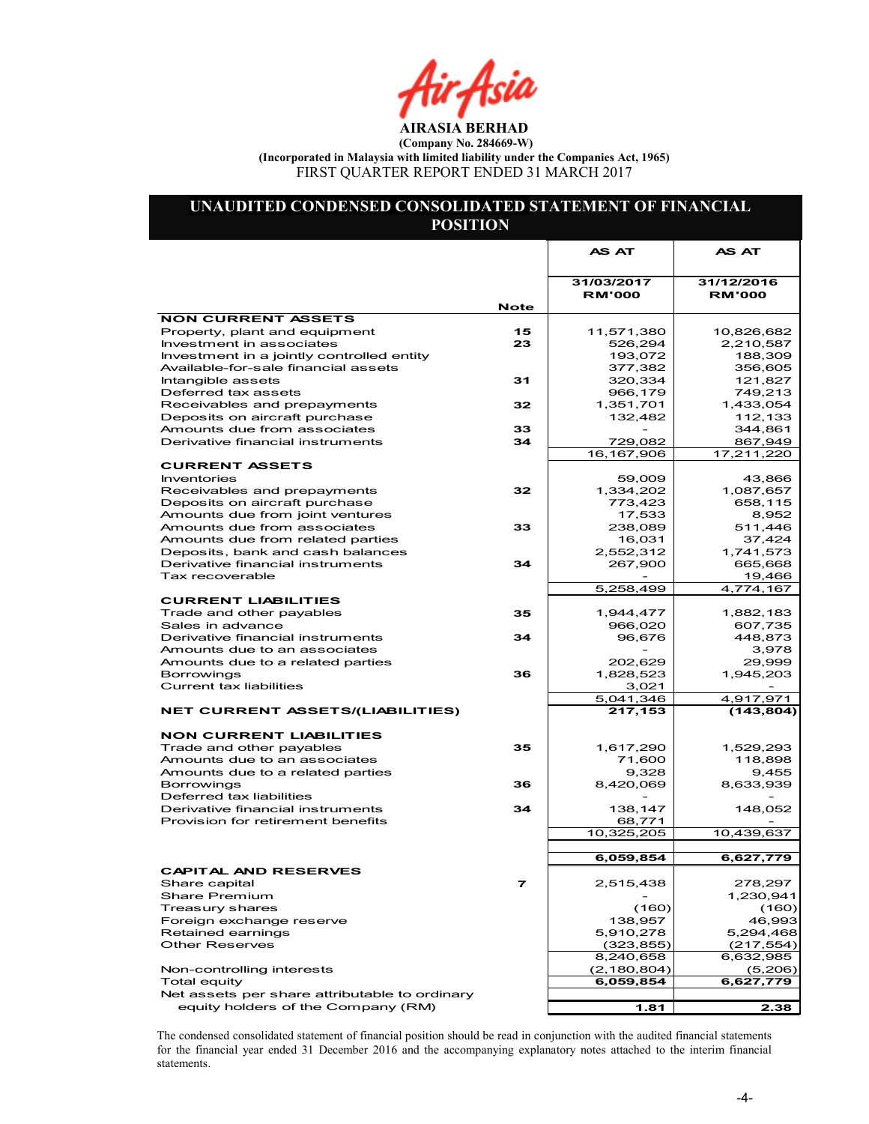hr Asia

### UNAUDITED CONDENSED CONSOLIDATED STATEMENT OF FINANCIAL POSITION

|                                                                                  |             | AS AT              | AS AT                |
|----------------------------------------------------------------------------------|-------------|--------------------|----------------------|
|                                                                                  |             | 31/03/2017         | 31/12/2016           |
|                                                                                  |             | <b>RM'000</b>      | <b>RM'000</b>        |
|                                                                                  | <b>Note</b> |                    |                      |
| <b>NON CURRENT ASSETS</b>                                                        |             |                    |                      |
| Property, plant and equipment                                                    | 15          | 11,571,380         | 10,826,682           |
| Investment in associates                                                         | 23          | 526,294            | 2,210,587            |
| Investment in a jointly controlled entity<br>Available-for-sale financial assets |             | 193,072<br>377,382 | 188,309<br>356,605   |
| Intangible assets                                                                | 31          | 320,334            | 121,827              |
| Deferred tax assets                                                              |             | 966,179            | 749,213              |
| Receivables and prepayments                                                      | 32          | 1,351,701          | 1,433,054            |
| Deposits on aircraft purchase                                                    |             | 132,482            | 112,133              |
| Amounts due from associates                                                      | 33          |                    | 344.861              |
| Derivative financial instruments                                                 | 34          | 729,082            | 867,949              |
|                                                                                  |             | 16,167,906         | 17,211,220           |
| <b>CURRENT ASSETS</b>                                                            |             |                    |                      |
| <b>Inventories</b>                                                               |             | 59,009             | 43,866               |
| Receivables and prepayments                                                      | 32          | 1,334,202          | 1,087,657            |
| Deposits on aircraft purchase                                                    |             | 773,423            | 658,115              |
| Amounts due from joint ventures                                                  |             | 17,533             | 8,952                |
| Amounts due from associates                                                      | 33          | 238,089            | 511,446              |
| Amounts due from related parties                                                 |             | 16,031             | 37,424               |
| Deposits, bank and cash balances                                                 |             | 2,552,312          | 1,741,573            |
| Derivative financial instruments                                                 | 34          | 267,900            | 665,668              |
| Tax recoverable                                                                  |             |                    | 19,466               |
|                                                                                  |             | 5,258,499          | 4,774,167            |
| <b>CURRENT LIABILITIES</b>                                                       | 35          | 1,944,477          |                      |
| Trade and other payables<br>Sales in advance                                     |             | 966,020            | 1,882,183<br>607,735 |
| Derivative financial instruments                                                 | 34          | 96,676             | 448,873              |
| Amounts due to an associates                                                     |             |                    | 3,978                |
| Amounts due to a related parties                                                 |             | 202,629            | 29,999               |
| <b>Borrowings</b>                                                                | 36          | 1,828,523          | 1,945,203            |
| <b>Current tax liabilities</b>                                                   |             | 3,021              |                      |
|                                                                                  |             | 5,041,346          | 4,917,971            |
| <b>NET CURRENT ASSETS/(LIABILITIES)</b>                                          |             | 217,153            | (143, 804)           |
|                                                                                  |             |                    |                      |
| <b>NON CURRENT LIABILITIES</b>                                                   |             |                    |                      |
| Trade and other payables                                                         | 35          | 1,617,290          | 1,529,293            |
| Amounts due to an associates                                                     |             | 71,600             | 118,898              |
| Amounts due to a related parties                                                 |             | 9,328              | 9,455                |
| <b>Borrowings</b><br>Deferred tax liabilities                                    | 36          | 8,420,069          | 8,633,939            |
| Derivative financial instruments                                                 | 34          | 138,147            | 148,052              |
| Provision for retirement benefits                                                |             | 68,771             |                      |
|                                                                                  |             | 10,325,205         | 10,439,637           |
|                                                                                  |             |                    |                      |
|                                                                                  |             | 6,059,854          | 6,627,779            |
| <b>CAPITAL AND RESERVES</b>                                                      |             |                    |                      |
| Share capital                                                                    | 7           | 2,515,438          | 278,297              |
| Share Premium                                                                    |             |                    | 1,230,941            |
| Treasury shares                                                                  |             | (160)              | (160)                |
| Foreign exchange reserve                                                         |             | 138,957            | 46,993               |
| Retained earnings                                                                |             | 5,910,278          | 5,294,468            |
| <b>Other Reserves</b>                                                            |             | (323, 855)         | (217, 554)           |
|                                                                                  |             | 8,240,658          | 6,632,985            |
| Non-controlling interests                                                        |             | (2, 180, 804)      | (5,206)              |
| Total equity<br>Net assets per share attributable to ordinary                    |             | 6,059,854          | 6,627,779            |
| equity holders of the Company (RM)                                               |             |                    |                      |
|                                                                                  |             | 1.81               | 2.38                 |

The condensed consolidated statement of financial position should be read in conjunction with the audited financial statements for the financial year ended 31 December 2016 and the accompanying explanatory notes attached to the interim financial statements.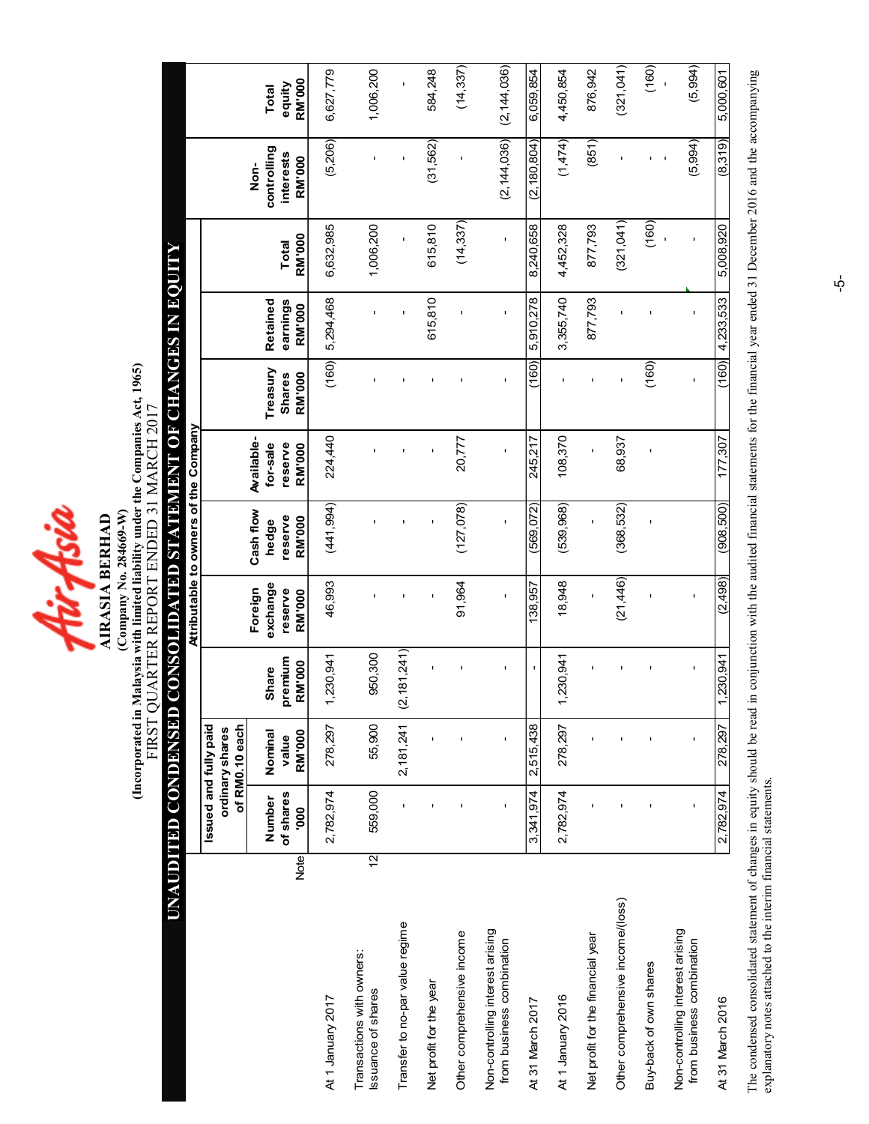4irAsia

(Incorporated in Malaysia with limited liability under the Companies Act, 1965) (Incorporated in Malaysia with limited liability under the Companies Act, 1965) FIRST QUARTER REPORT ENDED 31 MARCH 2017 FIRST QUARTER REPORT ENDED 31 MARCH 2017 (Company No. 284669-W) (Company No. 284669-W) **AIRASIA BERHAD** AIRASIA BERHAD

# UNAUDITED CONDENSED CONSOLIDATED STATEMENT OF CHANGES IN EQUITY UNAUDITED CONDENSED CONSOLIDATED STATEMENT OF CHANGES IN EQUIT

|                                                               |             |                       |                                   |                         |                                | Attributable to owners of the Company |                                   |                           |                      |               |                                  |                         |
|---------------------------------------------------------------|-------------|-----------------------|-----------------------------------|-------------------------|--------------------------------|---------------------------------------|-----------------------------------|---------------------------|----------------------|---------------|----------------------------------|-------------------------|
|                                                               |             | Issued and fully paid | of RM0.10 each<br>ordinary shares |                         |                                |                                       |                                   |                           |                      |               |                                  |                         |
|                                                               |             | of shares<br>Number   | Nominal<br>value                  | premium<br><b>Share</b> | exchange<br>Foreign<br>reserve | Cash flow<br>reserve<br>hedge         | Available-<br>for-sale<br>reserve | Treasury<br><b>Shares</b> | earnings<br>Retained | <b>Total</b>  | controlling<br>interests<br>Non- | equity<br>Total         |
|                                                               | <b>Note</b> | 000                   | <b>RM'000</b>                     | <b>RM'000</b>           | <b>RM'000</b>                  | <b>RM'000</b>                         | <b>RM'000</b>                     | <b>RM'000</b>             | <b>RM'000</b>        | <b>RM'000</b> | <b>RM'000</b>                    | RM'000                  |
| At 1 January 2017                                             |             | 2,782,974             | 278,297                           | 230,941                 | 46,993                         | (441, 994)                            | 224,440                           | (160)                     | 5,294,468            | 6,632,985     | (5,206)                          | 6,627,779               |
| Transactions with owners:<br>Issuance of shares               | 12          | 559,000               | 55,900                            | 950,300                 | ı                              |                                       | ı                                 |                           |                      | 1,006,200     |                                  | 1,006,200               |
| Transfer to no-par value regime                               |             |                       | 2,181,241                         | (2, 181, 241)           |                                |                                       |                                   |                           |                      | $\mathbf I$   |                                  | ı                       |
| Net profit for the year                                       |             |                       |                                   |                         |                                |                                       |                                   |                           | 615,810              | 615,810       | (31,562)                         | 584,248                 |
| Other comprehensive income                                    |             |                       |                                   |                         | 91,964                         | (127, 078)                            | 20,777                            |                           |                      | (14, 337)     |                                  | (14, 337)               |
| Non-controlling interest arising<br>from business combination |             |                       | f,                                |                         | $\mathbf{I}$                   | $\blacksquare$                        | $\mathbf I$                       | I.                        | $\mathbf{I}$         | $\mathbf{I}$  | (2, 144, 036)                    | (2, 144, 036)           |
| At 31 March 2017                                              |             | 3.341.974             | 2,515,438                         |                         | 138,957                        | 569,072)                              | 245,217                           | (160)                     | 5,910,278            | 8,240,658     | (2, 180, 804)                    | 6,059,854               |
| At 1 January 2016                                             |             | 2,782,974             | 278,297                           | 230,941                 | 18,948                         | 539,968)                              | 108,370                           |                           | 3,355,740            | 4,452,328     | (1,474)                          | 4,450,854               |
| Net profit for the financial year                             |             |                       |                                   |                         | ï                              | $\blacksquare$                        | ï                                 |                           | 877,793              | 877,793       | (851)                            | 876,942                 |
| Other comprehensive income/(loss)                             |             |                       |                                   |                         | (21, 446)                      | (368, 532)                            | 68,937                            |                           |                      | (321,041)     |                                  | (321,041)               |
| Buy-back of own shares                                        |             |                       |                                   |                         |                                |                                       | ı                                 | (160)                     |                      | (160)         |                                  | (160)                   |
| Non-controlling interest arising<br>from business combination |             |                       | f,                                | ı                       | $\blacksquare$                 |                                       |                                   |                           |                      | f,            | (5,994)                          | (5,994)<br>$\mathbf{I}$ |
| At 31 March 2016                                              |             | 2,782,974             | 278,297                           | ,230,941                | (2,498)                        | (908, 500)                            | 177,307                           | (160)                     | 4,233,533            | 5,008,920     | (8,319)                          | 5,000,601               |

The condensed consolidated statement of changes in equity should be read in conjunction with the audited financial statements for the financial year ended 31 December 2016 and the accompanying<br>explanatory notes attached to The condensed consolidated statement of changes in equity should be read in conjunction with the audited financial statements for the financial year ended 31 December 2016 and the accompanying explanatory notes attached to the interim financial statements.

 $\vec{\mathsf{p}}$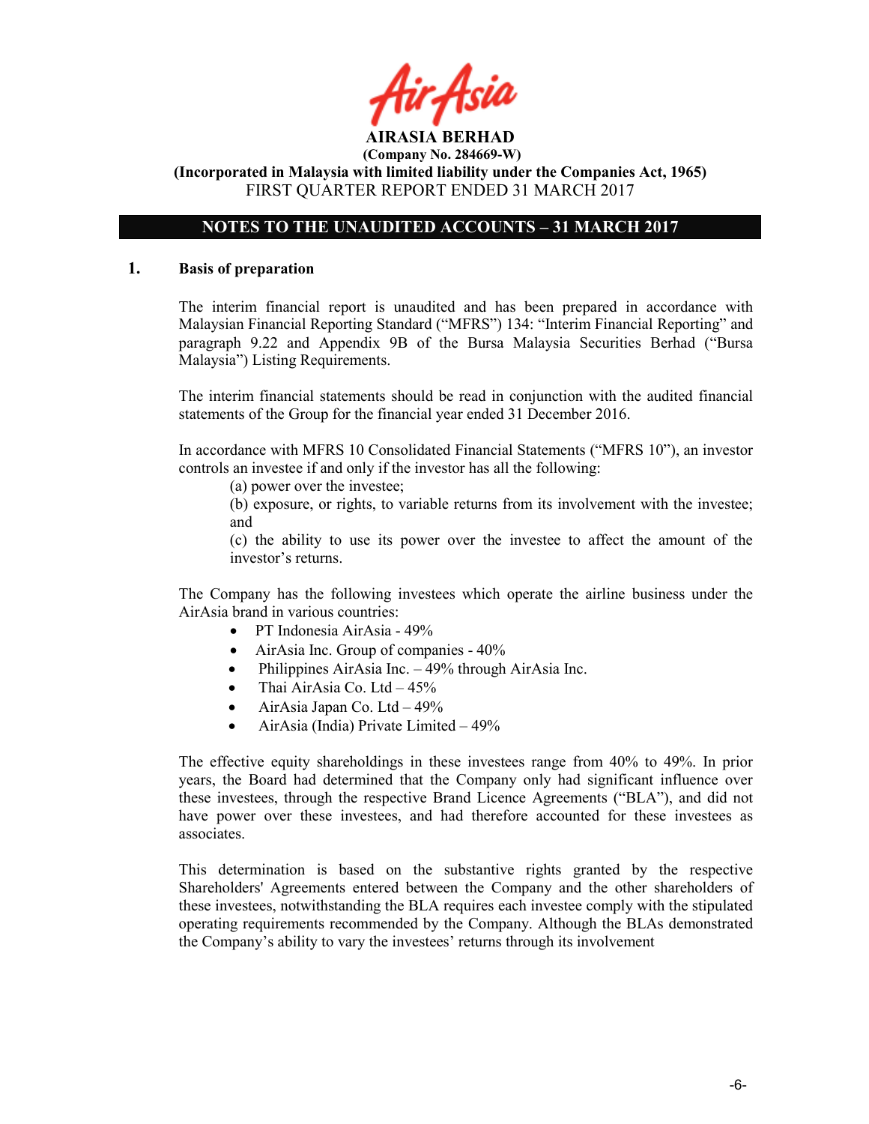tir Asid

# NOTES TO THE UNAUDITED ACCOUNTS – 31 MARCH 2017

#### 1. Basis of preparation

The interim financial report is unaudited and has been prepared in accordance with Malaysian Financial Reporting Standard ("MFRS") 134: "Interim Financial Reporting" and paragraph 9.22 and Appendix 9B of the Bursa Malaysia Securities Berhad ("Bursa Malaysia") Listing Requirements.

The interim financial statements should be read in conjunction with the audited financial statements of the Group for the financial year ended 31 December 2016.

In accordance with MFRS 10 Consolidated Financial Statements ("MFRS 10"), an investor controls an investee if and only if the investor has all the following:

(a) power over the investee;

(b) exposure, or rights, to variable returns from its involvement with the investee; and

(c) the ability to use its power over the investee to affect the amount of the investor's returns.

The Company has the following investees which operate the airline business under the AirAsia brand in various countries:

- PT Indonesia AirAsia 49%
- AirAsia Inc. Group of companies  $40\%$
- Philippines AirAsia Inc. 49% through AirAsia Inc.
- Thai AirAsia Co. Ltd  $-45\%$
- AirAsia Japan Co. Ltd  $-49\%$
- AirAsia (India) Private Limited 49%

The effective equity shareholdings in these investees range from 40% to 49%. In prior years, the Board had determined that the Company only had significant influence over these investees, through the respective Brand Licence Agreements ("BLA"), and did not have power over these investees, and had therefore accounted for these investees as associates.

This determination is based on the substantive rights granted by the respective Shareholders' Agreements entered between the Company and the other shareholders of these investees, notwithstanding the BLA requires each investee comply with the stipulated operating requirements recommended by the Company. Although the BLAs demonstrated the Company's ability to vary the investees' returns through its involvement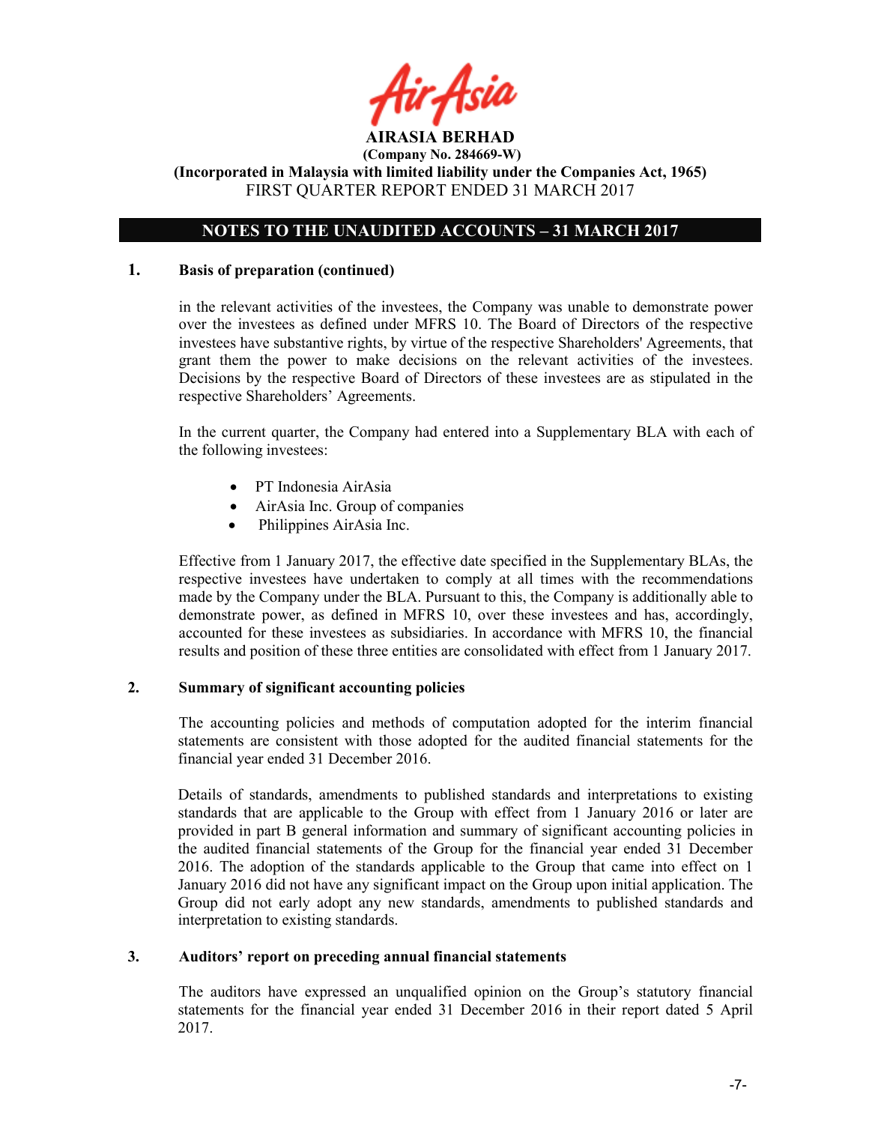

# NOTES TO THE UNAUDITED ACCOUNTS – 31 MARCH 2017

#### 1. Basis of preparation (continued)

in the relevant activities of the investees, the Company was unable to demonstrate power over the investees as defined under MFRS 10. The Board of Directors of the respective investees have substantive rights, by virtue of the respective Shareholders' Agreements, that grant them the power to make decisions on the relevant activities of the investees. Decisions by the respective Board of Directors of these investees are as stipulated in the respective Shareholders' Agreements.

In the current quarter, the Company had entered into a Supplementary BLA with each of the following investees:

- PT Indonesia AirAsia
- AirAsia Inc. Group of companies
- Philippines AirAsia Inc.

Effective from 1 January 2017, the effective date specified in the Supplementary BLAs, the respective investees have undertaken to comply at all times with the recommendations made by the Company under the BLA. Pursuant to this, the Company is additionally able to demonstrate power, as defined in MFRS 10, over these investees and has, accordingly, accounted for these investees as subsidiaries. In accordance with MFRS 10, the financial results and position of these three entities are consolidated with effect from 1 January 2017.

#### 2. Summary of significant accounting policies

The accounting policies and methods of computation adopted for the interim financial statements are consistent with those adopted for the audited financial statements for the financial year ended 31 December 2016.

Details of standards, amendments to published standards and interpretations to existing standards that are applicable to the Group with effect from 1 January 2016 or later are provided in part B general information and summary of significant accounting policies in the audited financial statements of the Group for the financial year ended 31 December 2016. The adoption of the standards applicable to the Group that came into effect on 1 January 2016 did not have any significant impact on the Group upon initial application. The Group did not early adopt any new standards, amendments to published standards and interpretation to existing standards.

#### 3. Auditors' report on preceding annual financial statements

The auditors have expressed an unqualified opinion on the Group's statutory financial statements for the financial year ended 31 December 2016 in their report dated 5 April 2017.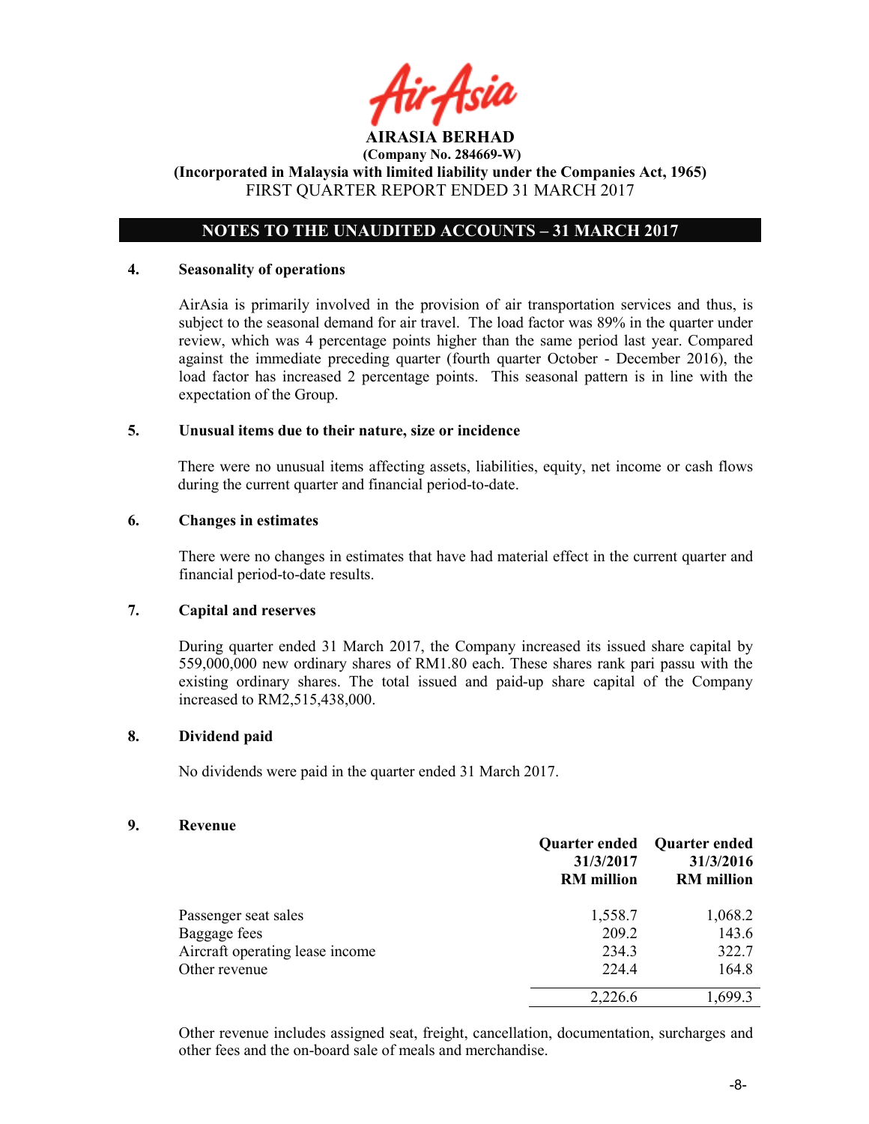tir Asid

# NOTES TO THE UNAUDITED ACCOUNTS – 31 MARCH 2017

#### 4. Seasonality of operations

AirAsia is primarily involved in the provision of air transportation services and thus, is subject to the seasonal demand for air travel. The load factor was 89% in the quarter under review, which was 4 percentage points higher than the same period last year. Compared against the immediate preceding quarter (fourth quarter October - December 2016), the load factor has increased 2 percentage points. This seasonal pattern is in line with the expectation of the Group.

#### 5. Unusual items due to their nature, size or incidence

There were no unusual items affecting assets, liabilities, equity, net income or cash flows during the current quarter and financial period-to-date.

#### 6. Changes in estimates

There were no changes in estimates that have had material effect in the current quarter and financial period-to-date results.

#### 7. Capital and reserves

During quarter ended 31 March 2017, the Company increased its issued share capital by 559,000,000 new ordinary shares of RM1.80 each. These shares rank pari passu with the existing ordinary shares. The total issued and paid-up share capital of the Company increased to RM2,515,438,000.

#### 8. Dividend paid

No dividends were paid in the quarter ended 31 March 2017.

#### 9. Revenue

|                                 | 31/3/2017<br><b>RM</b> million | Quarter ended Quarter ended<br>31/3/2016<br><b>RM</b> million |
|---------------------------------|--------------------------------|---------------------------------------------------------------|
| Passenger seat sales            | 1,558.7                        | 1,068.2                                                       |
| Baggage fees                    | 209.2                          | 143.6                                                         |
| Aircraft operating lease income | 234.3                          | 322.7                                                         |
| Other revenue                   | 224.4                          | 164.8                                                         |
|                                 | 2,226.6                        | 1,699.3                                                       |

Other revenue includes assigned seat, freight, cancellation, documentation, surcharges and other fees and the on-board sale of meals and merchandise.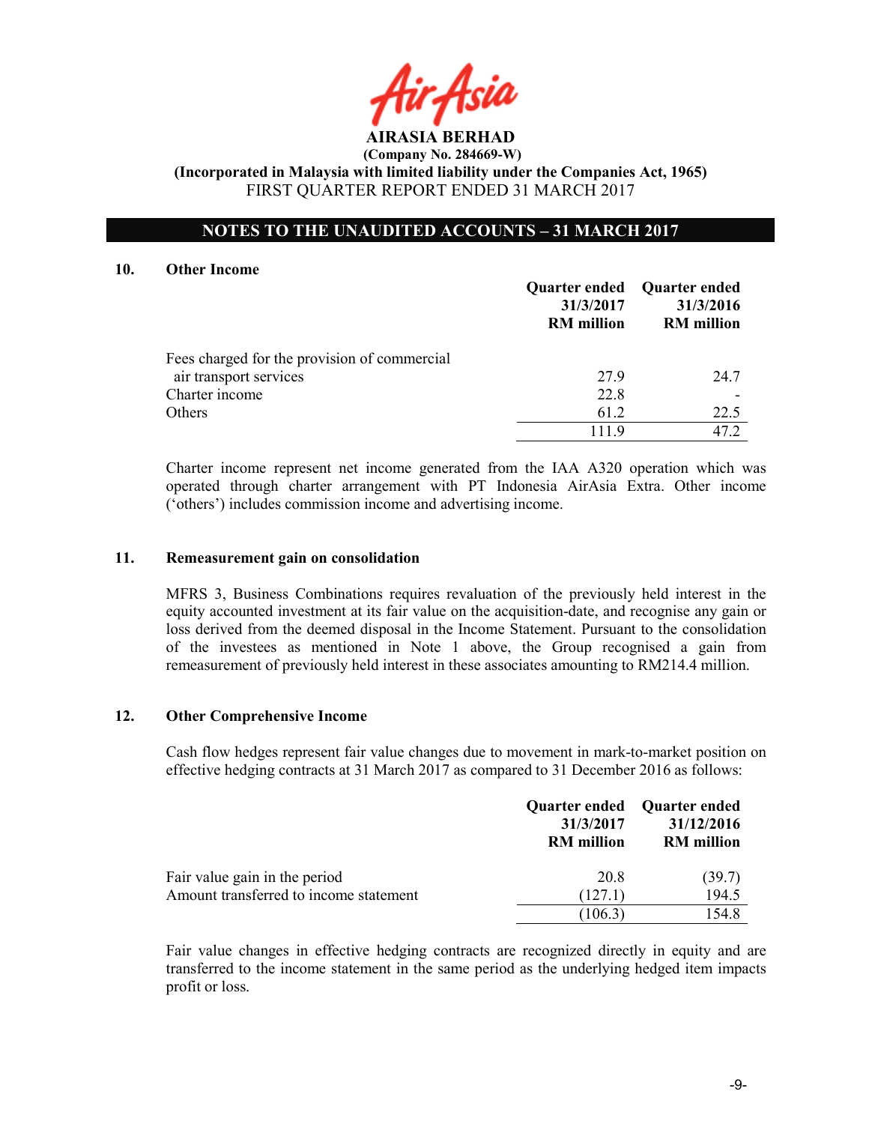AIRASIA BERHAD

# NOTES TO THE UNAUDITED ACCOUNTS – 31 MARCH 2017

#### 10. Other Income

|                                              | Quarter ended Quarter ended<br>31/3/2017<br><b>RM</b> million | 31/3/2016<br><b>RM</b> million |
|----------------------------------------------|---------------------------------------------------------------|--------------------------------|
| Fees charged for the provision of commercial |                                                               |                                |
| air transport services                       | 279                                                           | 24.7                           |
| Charter income                               | 22.8                                                          |                                |
| Others                                       | 61.2                                                          | 22.5                           |
|                                              | 1119                                                          | 47 2                           |

Charter income represent net income generated from the IAA A320 operation which was operated through charter arrangement with PT Indonesia AirAsia Extra. Other income ('others') includes commission income and advertising income.

#### 11. Remeasurement gain on consolidation

MFRS 3, Business Combinations requires revaluation of the previously held interest in the equity accounted investment at its fair value on the acquisition-date, and recognise any gain or loss derived from the deemed disposal in the Income Statement. Pursuant to the consolidation of the investees as mentioned in Note 1 above, the Group recognised a gain from remeasurement of previously held interest in these associates amounting to RM214.4 million.

#### 12. Other Comprehensive Income

Cash flow hedges represent fair value changes due to movement in mark-to-market position on effective hedging contracts at 31 March 2017 as compared to 31 December 2016 as follows:

|                                        | <b>Quarter ended</b><br>31/3/2017<br><b>RM</b> million | <b>Ouarter ended</b><br>31/12/2016<br><b>RM</b> million |
|----------------------------------------|--------------------------------------------------------|---------------------------------------------------------|
| Fair value gain in the period          | 20.8                                                   | (39.7)                                                  |
| Amount transferred to income statement | (127.1)                                                | 194.5                                                   |
|                                        | (106.3)                                                | 154.8                                                   |

Fair value changes in effective hedging contracts are recognized directly in equity and are transferred to the income statement in the same period as the underlying hedged item impacts profit or loss.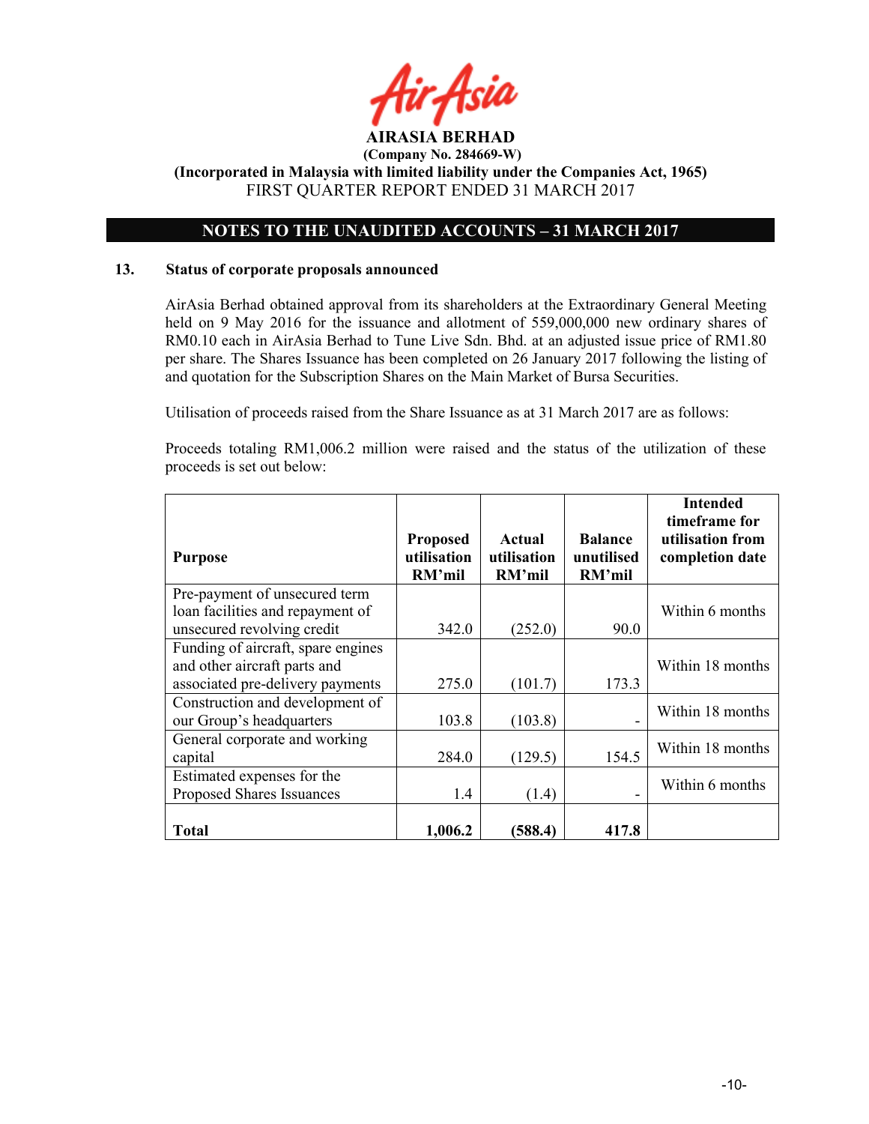

# NOTES TO THE UNAUDITED ACCOUNTS – 31 MARCH 2017

#### 13. Status of corporate proposals announced

AirAsia Berhad obtained approval from its shareholders at the Extraordinary General Meeting held on 9 May 2016 for the issuance and allotment of 559,000,000 new ordinary shares of RM0.10 each in AirAsia Berhad to Tune Live Sdn. Bhd. at an adjusted issue price of RM1.80 per share. The Shares Issuance has been completed on 26 January 2017 following the listing of and quotation for the Subscription Shares on the Main Market of Bursa Securities.

Utilisation of proceeds raised from the Share Issuance as at 31 March 2017 are as follows:

Proceeds totaling RM1,006.2 million were raised and the status of the utilization of these proceeds is set out below:

|                                    |                                          |                                 |                                        | <b>Intended</b><br>timeframe for    |
|------------------------------------|------------------------------------------|---------------------------------|----------------------------------------|-------------------------------------|
| <b>Purpose</b>                     | <b>Proposed</b><br>utilisation<br>RM'mil | Actual<br>utilisation<br>RM'mil | <b>Balance</b><br>unutilised<br>RM'mil | utilisation from<br>completion date |
| Pre-payment of unsecured term      |                                          |                                 |                                        |                                     |
| loan facilities and repayment of   |                                          |                                 |                                        | Within 6 months                     |
| unsecured revolving credit         | 342.0                                    | (252.0)                         | 90.0                                   |                                     |
| Funding of aircraft, spare engines |                                          |                                 |                                        |                                     |
| and other aircraft parts and       |                                          |                                 |                                        | Within 18 months                    |
| associated pre-delivery payments   | 275.0                                    | (101.7)                         | 173.3                                  |                                     |
| Construction and development of    |                                          |                                 |                                        | Within 18 months                    |
| our Group's headquarters           | 103.8                                    | (103.8)                         |                                        |                                     |
| General corporate and working      |                                          |                                 |                                        | Within 18 months                    |
| capital                            | 284.0                                    | (129.5)                         | 154.5                                  |                                     |
| Estimated expenses for the         |                                          |                                 |                                        | Within 6 months                     |
| Proposed Shares Issuances          | 1.4                                      | (1.4)                           |                                        |                                     |
|                                    |                                          |                                 |                                        |                                     |
| Total                              | 1,006.2                                  | (588.4)                         | 417.8                                  |                                     |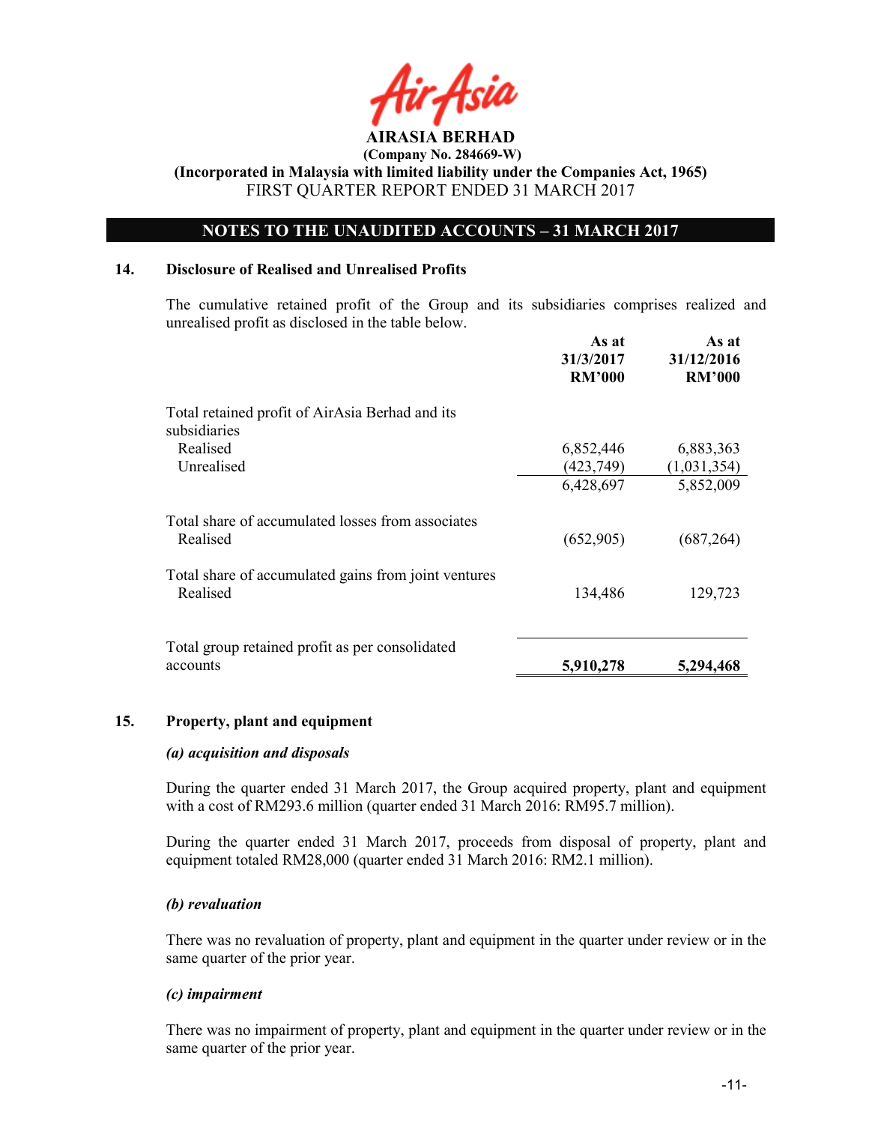

# NOTES TO THE UNAUDITED ACCOUNTS – 31 MARCH 2017

#### 14. Disclosure of Realised and Unrealised Profits

The cumulative retained profit of the Group and its subsidiaries comprises realized and unrealised profit as disclosed in the table below.

|                                                                  | As at<br>31/3/2017<br><b>RM'000</b> | As at<br>31/12/2016<br><b>RM'000</b> |
|------------------------------------------------------------------|-------------------------------------|--------------------------------------|
| Total retained profit of AirAsia Berhad and its<br>subsidiaries  |                                     |                                      |
| Realised                                                         | 6,852,446                           | 6,883,363                            |
| Unrealised                                                       | (423,749)                           | (1,031,354)                          |
|                                                                  | 6,428,697                           | 5,852,009                            |
| Total share of accumulated losses from associates<br>Realised    | (652,905)                           | (687, 264)                           |
| Total share of accumulated gains from joint ventures<br>Realised | 134,486                             | 129,723                              |
| Total group retained profit as per consolidated<br>accounts      | 5,910,278                           | 5,294,468                            |

#### 15. Property, plant and equipment

#### (a) acquisition and disposals

During the quarter ended 31 March 2017, the Group acquired property, plant and equipment with a cost of RM293.6 million (quarter ended 31 March 2016: RM95.7 million).

During the quarter ended 31 March 2017, proceeds from disposal of property, plant and equipment totaled RM28,000 (quarter ended 31 March 2016: RM2.1 million).

#### (b) revaluation

There was no revaluation of property, plant and equipment in the quarter under review or in the same quarter of the prior year.

#### (c) impairment

There was no impairment of property, plant and equipment in the quarter under review or in the same quarter of the prior year.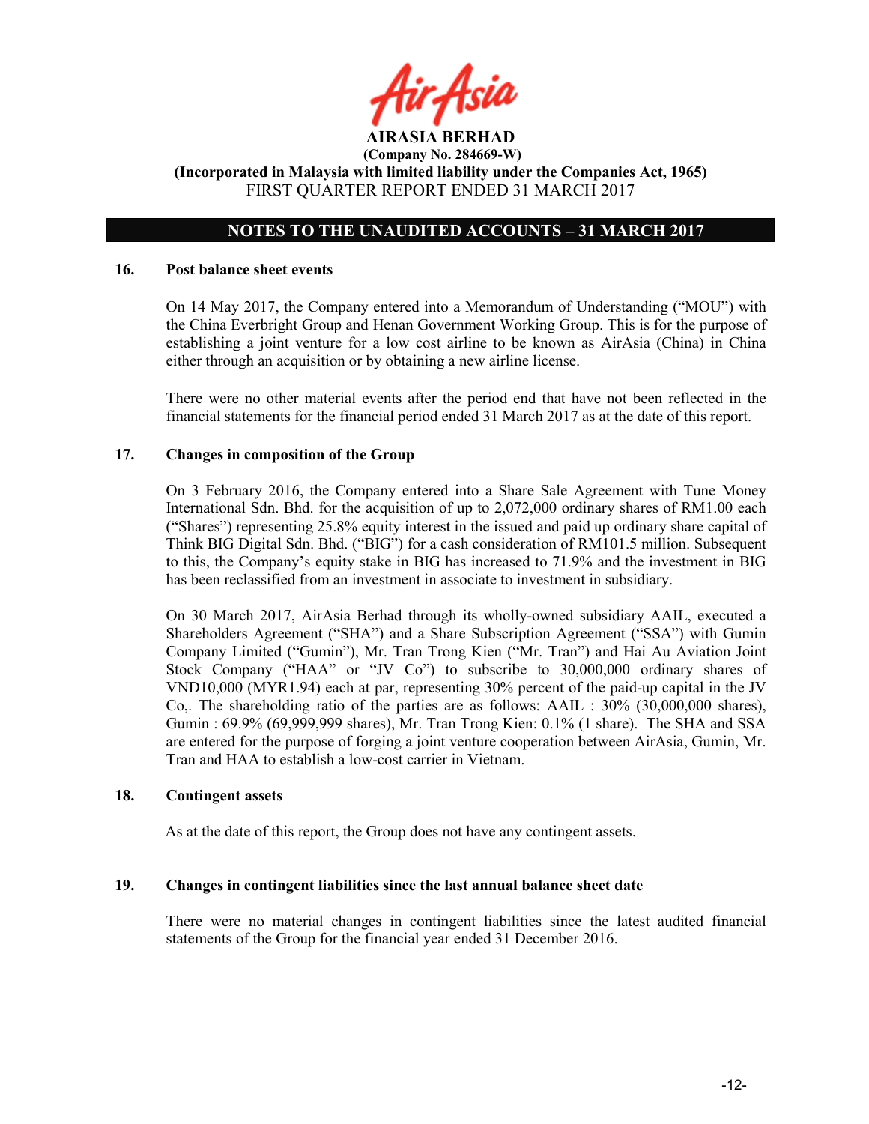ir Asid

# NOTES TO THE UNAUDITED ACCOUNTS – 31 MARCH 2017

#### 16. Post balance sheet events

On 14 May 2017, the Company entered into a Memorandum of Understanding ("MOU") with the China Everbright Group and Henan Government Working Group. This is for the purpose of establishing a joint venture for a low cost airline to be known as AirAsia (China) in China either through an acquisition or by obtaining a new airline license.

There were no other material events after the period end that have not been reflected in the financial statements for the financial period ended 31 March 2017 as at the date of this report.

#### 17. Changes in composition of the Group

On 3 February 2016, the Company entered into a Share Sale Agreement with Tune Money International Sdn. Bhd. for the acquisition of up to 2,072,000 ordinary shares of RM1.00 each ("Shares") representing 25.8% equity interest in the issued and paid up ordinary share capital of Think BIG Digital Sdn. Bhd. ("BIG") for a cash consideration of RM101.5 million. Subsequent to this, the Company's equity stake in BIG has increased to 71.9% and the investment in BIG has been reclassified from an investment in associate to investment in subsidiary.

On 30 March 2017, AirAsia Berhad through its wholly-owned subsidiary AAIL, executed a Shareholders Agreement ("SHA") and a Share Subscription Agreement ("SSA") with Gumin Company Limited ("Gumin"), Mr. Tran Trong Kien ("Mr. Tran") and Hai Au Aviation Joint Stock Company ("HAA" or "JV Co") to subscribe to 30,000,000 ordinary shares of VND10,000 (MYR1.94) each at par, representing 30% percent of the paid-up capital in the JV Co,. The shareholding ratio of the parties are as follows: AAIL : 30% (30,000,000 shares), Gumin : 69.9% (69,999,999 shares), Mr. Tran Trong Kien: 0.1% (1 share). The SHA and SSA are entered for the purpose of forging a joint venture cooperation between AirAsia, Gumin, Mr. Tran and HAA to establish a low-cost carrier in Vietnam.

#### 18. Contingent assets

As at the date of this report, the Group does not have any contingent assets.

#### 19. Changes in contingent liabilities since the last annual balance sheet date

There were no material changes in contingent liabilities since the latest audited financial statements of the Group for the financial year ended 31 December 2016.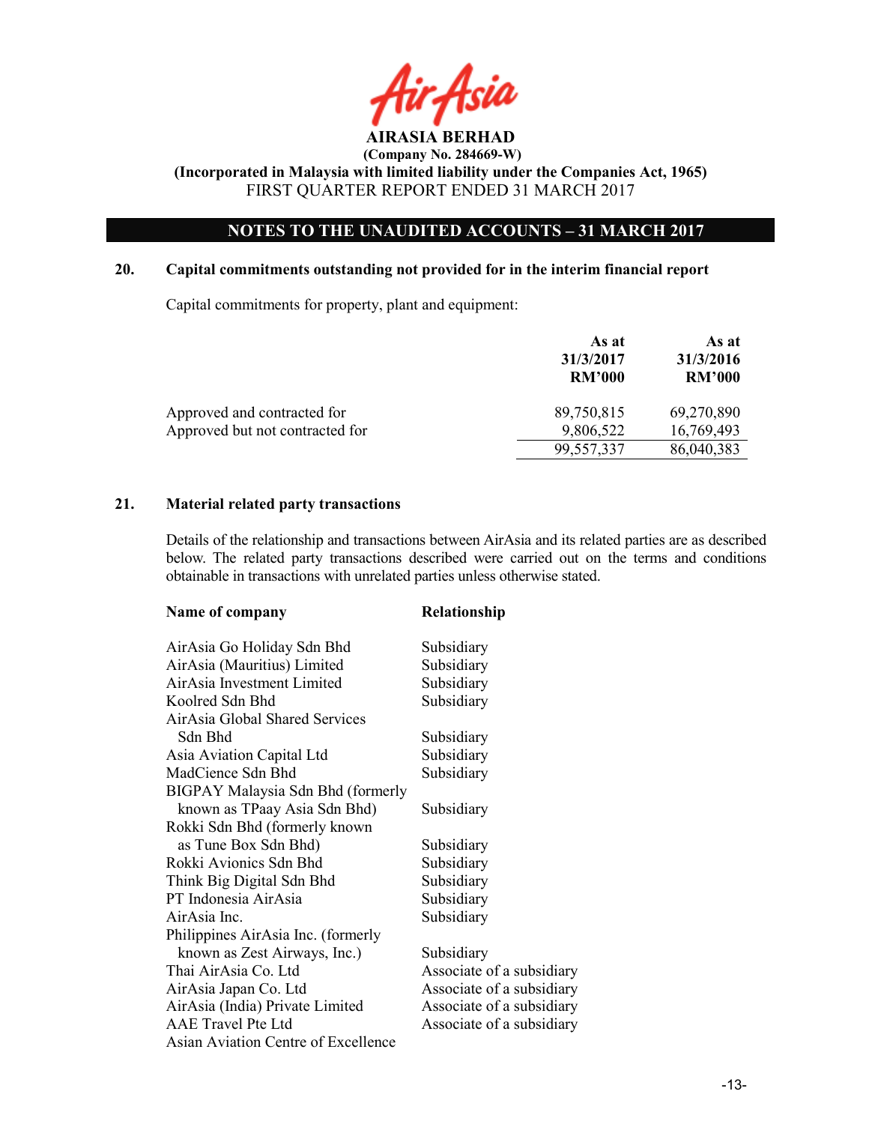

# NOTES TO THE UNAUDITED ACCOUNTS – 31 MARCH 2017

### 20. Capital commitments outstanding not provided for in the interim financial report

Capital commitments for property, plant and equipment:

|                                 | As at<br>31/3/2017<br><b>RM'000</b> | As at<br>31/3/2016<br><b>RM'000</b> |
|---------------------------------|-------------------------------------|-------------------------------------|
| Approved and contracted for     | 89,750,815                          | 69,270,890                          |
| Approved but not contracted for | 9,806,522                           | 16,769,493                          |
|                                 | 99,557,337                          | 86,040,383                          |

#### 21. Material related party transactions

Details of the relationship and transactions between AirAsia and its related parties are as described below. The related party transactions described were carried out on the terms and conditions obtainable in transactions with unrelated parties unless otherwise stated.

| Name of company                     | Relationship              |
|-------------------------------------|---------------------------|
| AirAsia Go Holiday Sdn Bhd          | Subsidiary                |
| AirAsia (Mauritius) Limited         | Subsidiary                |
| AirAsia Investment Limited          | Subsidiary                |
| Koolred Sdn Bhd                     | Subsidiary                |
| AirAsia Global Shared Services      |                           |
| Sdn Bhd                             | Subsidiary                |
| Asia Aviation Capital Ltd           | Subsidiary                |
| MadCience Sdn Bhd                   | Subsidiary                |
| BIGPAY Malaysia Sdn Bhd (formerly   |                           |
| known as TPaay Asia Sdn Bhd)        | Subsidiary                |
| Rokki Sdn Bhd (formerly known       |                           |
| as Tune Box Sdn Bhd)                | Subsidiary                |
| Rokki Avionics Sdn Bhd              | Subsidiary                |
| Think Big Digital Sdn Bhd           | Subsidiary                |
| PT Indonesia AirAsia                | Subsidiary                |
| AirAsia Inc.                        | Subsidiary                |
| Philippines AirAsia Inc. (formerly  |                           |
| known as Zest Airways, Inc.)        | Subsidiary                |
| Thai AirAsia Co. Ltd                | Associate of a subsidiary |
| AirAsia Japan Co. Ltd               | Associate of a subsidiary |
| AirAsia (India) Private Limited     | Associate of a subsidiary |
| AAE Travel Pte Ltd                  | Associate of a subsidiary |
| Asian Aviation Centre of Excellence |                           |
|                                     |                           |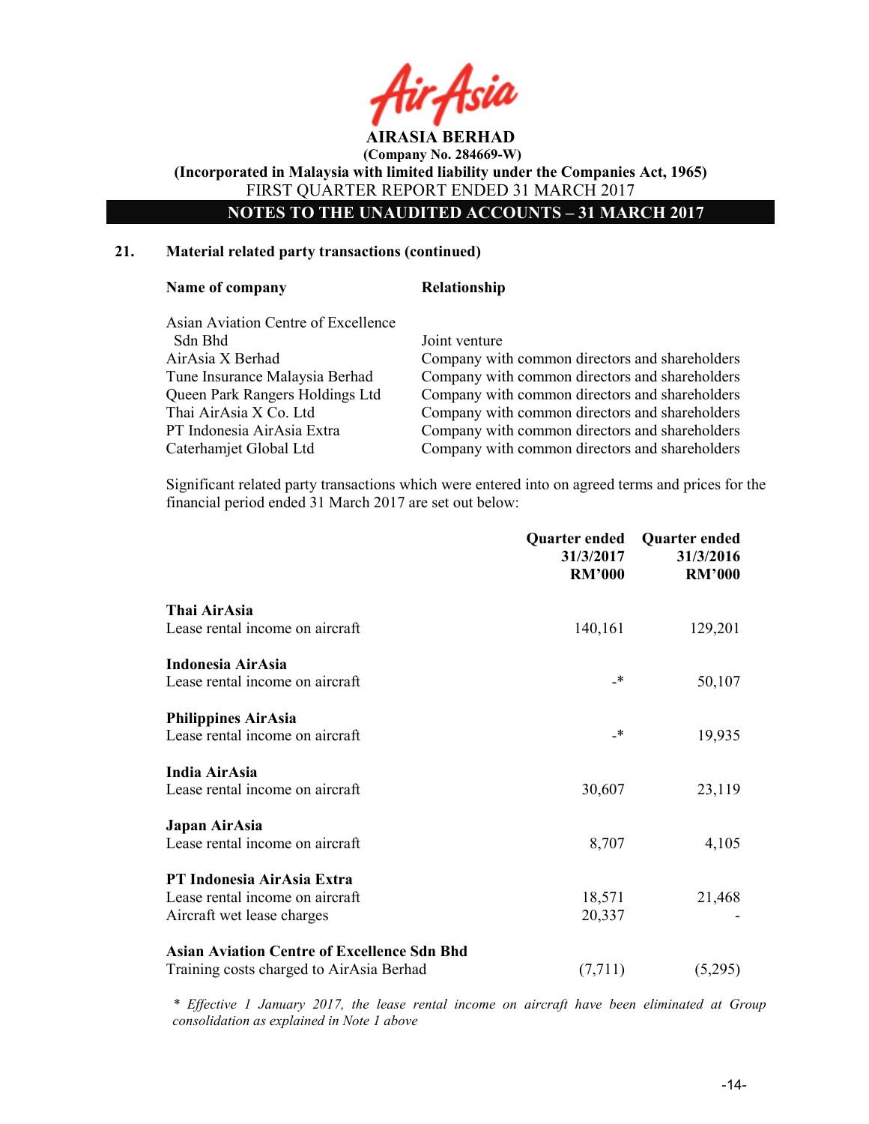

NOTES TO THE UNAUDITED ACCOUNTS – 31 MARCH 2017

#### 21. Material related party transactions (continued)

#### Name of company Relationship

| Asian Aviation Centre of Excellence |               |
|-------------------------------------|---------------|
| Sdn Bhd                             | Joint venture |
| AirAsia X Berhad                    | Company wit   |
| Tune Insurance Malaysia Berhad      | Company wit   |
| Queen Park Rangers Holdings Ltd     | Company wit   |
| Thai AirAsia X Co. Ltd              | Company wit   |
| PT Indonesia AirAsia Extra          | Company wit   |
| Caterhamjet Global Ltd              | Company wit   |
|                                     |               |

y with common directors and shareholders y with common directors and shareholders y with common directors and shareholders y with common directors and shareholders y with common directors and shareholders y with common directors and shareholders

 Significant related party transactions which were entered into on agreed terms and prices for the financial period ended 31 March 2017 are set out below:

|                                                                                                | Quarter ended<br>31/3/2017<br><b>RM'000</b> | <b>Quarter ended</b><br>31/3/2016<br><b>RM'000</b> |
|------------------------------------------------------------------------------------------------|---------------------------------------------|----------------------------------------------------|
| Thai AirAsia<br>Lease rental income on aircraft                                                | 140,161                                     | 129,201                                            |
| <b>Indonesia AirAsia</b><br>Lease rental income on aircraft                                    | _*                                          | 50,107                                             |
| <b>Philippines AirAsia</b><br>Lease rental income on aircraft                                  | _*                                          | 19,935                                             |
| India AirAsia<br>Lease rental income on aircraft                                               | 30,607                                      | 23,119                                             |
| Japan AirAsia<br>Lease rental income on aircraft                                               | 8,707                                       | 4,105                                              |
| PT Indonesia AirAsia Extra<br>Lease rental income on aircraft<br>Aircraft wet lease charges    | 18,571<br>20,337                            | 21,468                                             |
| <b>Asian Aviation Centre of Excellence Sdn Bhd</b><br>Training costs charged to AirAsia Berhad | (7, 711)                                    | (5,295)                                            |

\* Effective 1 January 2017, the lease rental income on aircraft have been eliminated at Group consolidation as explained in Note 1 above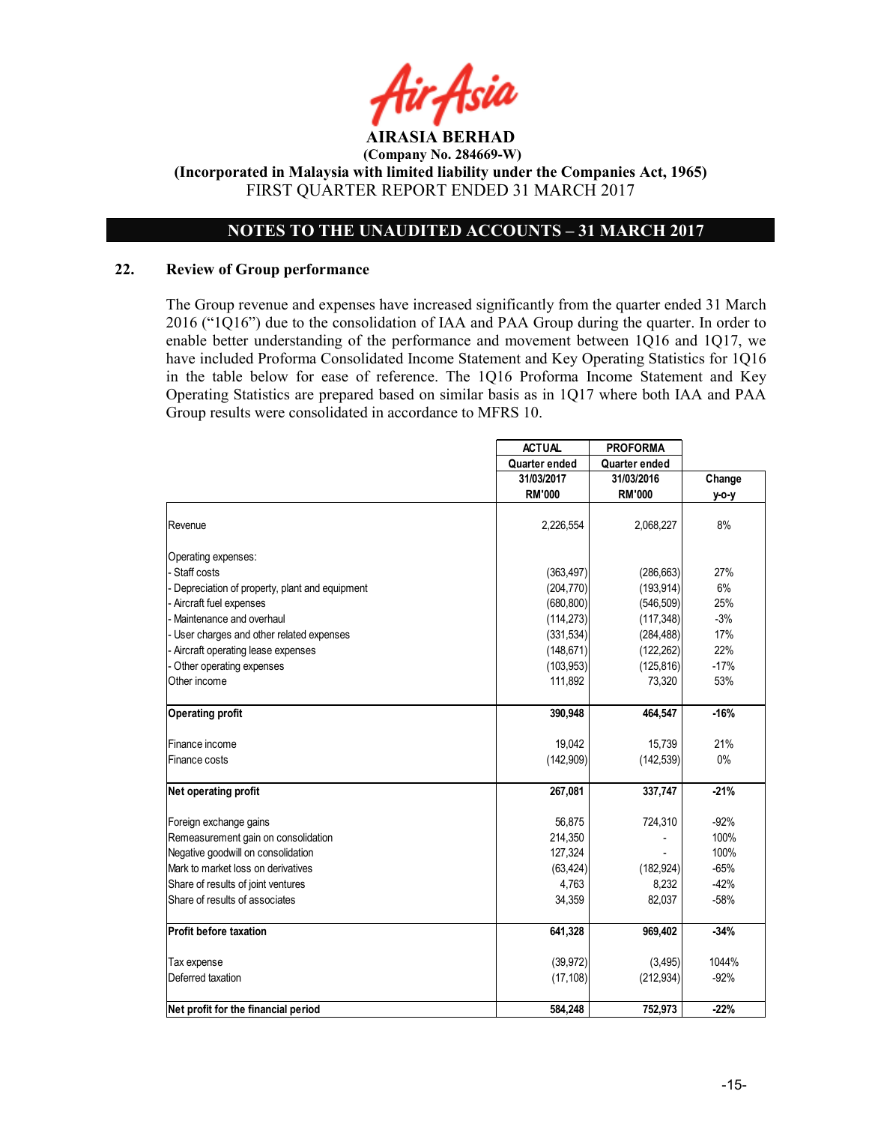

# NOTES TO THE UNAUDITED ACCOUNTS – 31 MARCH 2017

#### 22. Review of Group performance

The Group revenue and expenses have increased significantly from the quarter ended 31 March 2016 ("1Q16") due to the consolidation of IAA and PAA Group during the quarter. In order to enable better understanding of the performance and movement between 1Q16 and 1Q17, we have included Proforma Consolidated Income Statement and Key Operating Statistics for 1Q16 in the table below for ease of reference. The 1Q16 Proforma Income Statement and Key Operating Statistics are prepared based on similar basis as in 1Q17 where both IAA and PAA Group results were consolidated in accordance to MFRS 10.

|                                               | <b>ACTUAL</b> | <b>PROFORMA</b> |        |
|-----------------------------------------------|---------------|-----------------|--------|
|                                               | Quarter ended | Quarter ended   |        |
|                                               | 31/03/2017    | 31/03/2016      | Change |
|                                               | <b>RM'000</b> | <b>RM'000</b>   | у-о-у  |
| Revenue                                       | 2,226,554     | 2,068,227       | 8%     |
| Operating expenses:                           |               |                 |        |
| - Staff costs                                 | (363, 497)    | (286, 663)      | 27%    |
| Depreciation of property, plant and equipment | (204, 770)    | (193, 914)      | 6%     |
| Aircraft fuel expenses                        | (680, 800)    | (546, 509)      | 25%    |
| Maintenance and overhaul                      | (114, 273)    | (117, 348)      | $-3%$  |
| User charges and other related expenses       | (331, 534)    | (284, 488)      | 17%    |
| Aircraft operating lease expenses             | (148, 671)    | (122, 262)      | 22%    |
| Other operating expenses                      | (103, 953)    | (125, 816)      | $-17%$ |
| Other income                                  | 111,892       | 73,320          | 53%    |
| <b>Operating profit</b>                       | 390,948       | 464,547         | $-16%$ |
| Finance income                                | 19,042        | 15,739          | 21%    |
| Finance costs                                 | (142,909)     | (142, 539)      | $0\%$  |
| Net operating profit                          | 267,081       | 337,747         | $-21%$ |
| Foreign exchange gains                        | 56,875        | 724,310         | $-92%$ |
| Remeasurement gain on consolidation           | 214,350       |                 | 100%   |
| Negative goodwill on consolidation            | 127.324       |                 | 100%   |
| Mark to market loss on derivatives            | (63, 424)     | (182, 924)      | $-65%$ |
| Share of results of joint ventures            | 4,763         | 8,232           | $-42%$ |
| Share of results of associates                | 34,359        | 82,037          | $-58%$ |
| <b>Profit before taxation</b>                 | 641,328       | 969,402         | $-34%$ |
| Tax expense                                   | (39, 972)     | (3, 495)        | 1044%  |
| Deferred taxation                             | (17, 108)     | (212, 934)      | $-92%$ |
| Net profit for the financial period           | 584,248       | 752,973         | $-22%$ |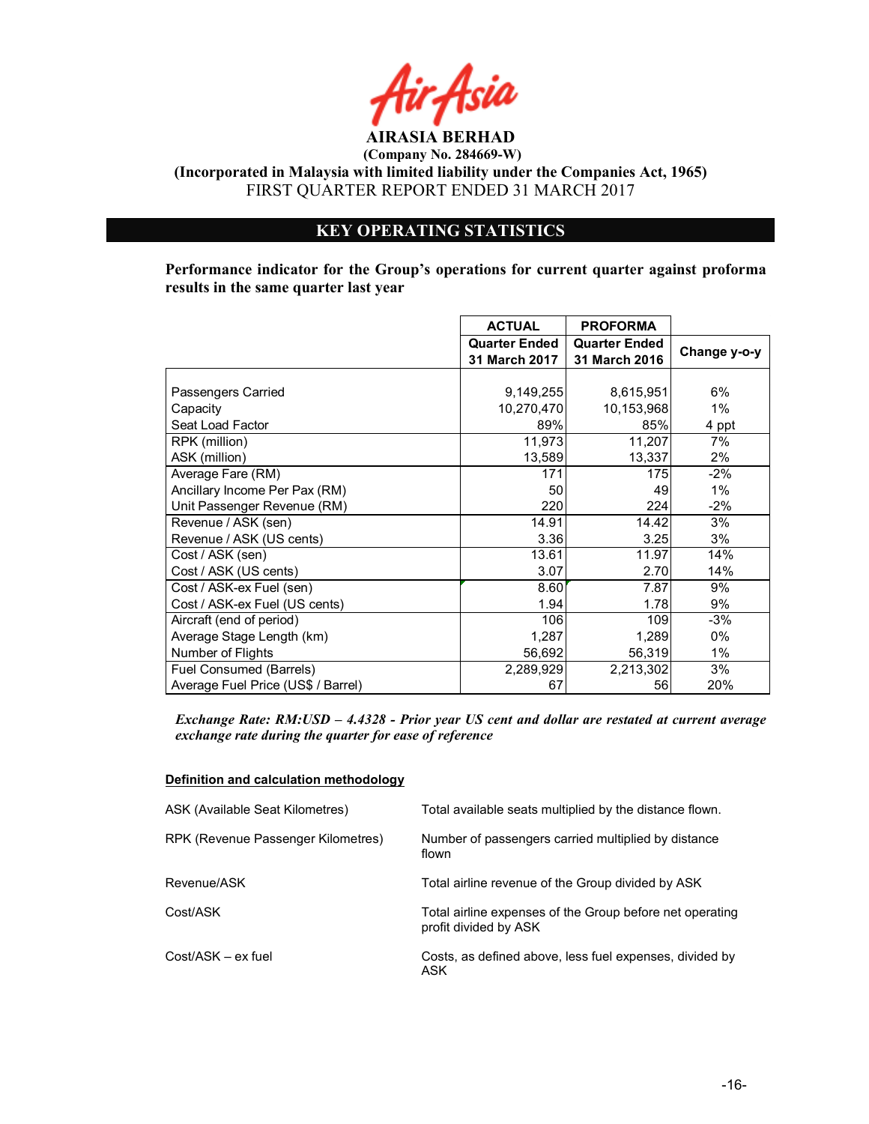

(Company No. 284669-W)

(Incorporated in Malaysia with limited liability under the Companies Act, 1965) FIRST QUARTER REPORT ENDED 31 MARCH 2017

# KEY OPERATING STATISTICS

Performance indicator for the Group's operations for current quarter against proforma results in the same quarter last year

|                                    | <b>ACTUAL</b>                         | <b>PROFORMA</b>                       |              |
|------------------------------------|---------------------------------------|---------------------------------------|--------------|
|                                    | <b>Quarter Ended</b><br>31 March 2017 | <b>Quarter Ended</b><br>31 March 2016 | Change y-o-y |
|                                    |                                       |                                       |              |
| Passengers Carried                 | 9,149,255                             | 8,615,951                             | 6%           |
| Capacity                           | 10,270,470                            | 10,153,968                            | $1\%$        |
| Seat Load Factor                   | 89%                                   | 85%                                   | 4 ppt        |
| RPK (million)                      | 11,973                                | 11,207                                | 7%           |
| ASK (million)                      | 13,589                                | 13,337                                | 2%           |
| Average Fare (RM)                  | 171                                   | 175                                   | $-2%$        |
| Ancillary Income Per Pax (RM)      | 50                                    | 49                                    | $1\%$        |
| Unit Passenger Revenue (RM)        | 220                                   | 224                                   | $-2\%$       |
| Revenue / ASK (sen)                | 14.91                                 | 14.42                                 | 3%           |
| Revenue / ASK (US cents)           | 3.36                                  | 3.25                                  | 3%           |
| Cost / ASK (sen)                   | 13.61                                 | 11.97                                 | 14%          |
| Cost / ASK (US cents)              | 3.07                                  | 2.70                                  | 14%          |
| Cost / ASK-ex Fuel (sen)           | 8.60                                  | 7.87                                  | 9%           |
| Cost / ASK-ex Fuel (US cents)      | 1.94                                  | 1.78                                  | 9%           |
| Aircraft (end of period)           | 106                                   | 109                                   | $-3%$        |
| Average Stage Length (km)          | 1,287                                 | 1,289                                 | $0\%$        |
| Number of Flights                  | 56,692                                | 56,319                                | $1\%$        |
| Fuel Consumed (Barrels)            | 2,289,929                             | 2,213,302                             | 3%           |
| Average Fuel Price (US\$ / Barrel) | 67                                    | 56                                    | 20%          |

Exchange Rate: RM:USD – 4.4328 - Prior year US cent and dollar are restated at current average exchange rate during the quarter for ease of reference

#### Definition and calculation methodology

| ASK (Available Seat Kilometres)    | Total available seats multiplied by the distance flown.                           |
|------------------------------------|-----------------------------------------------------------------------------------|
| RPK (Revenue Passenger Kilometres) | Number of passengers carried multiplied by distance<br>flown                      |
| Revenue/ASK                        | Total airline revenue of the Group divided by ASK                                 |
| Cost/ASK                           | Total airline expenses of the Group before net operating<br>profit divided by ASK |
| $Cost/ASK - ex fuel$               | Costs, as defined above, less fuel expenses, divided by<br>ASK                    |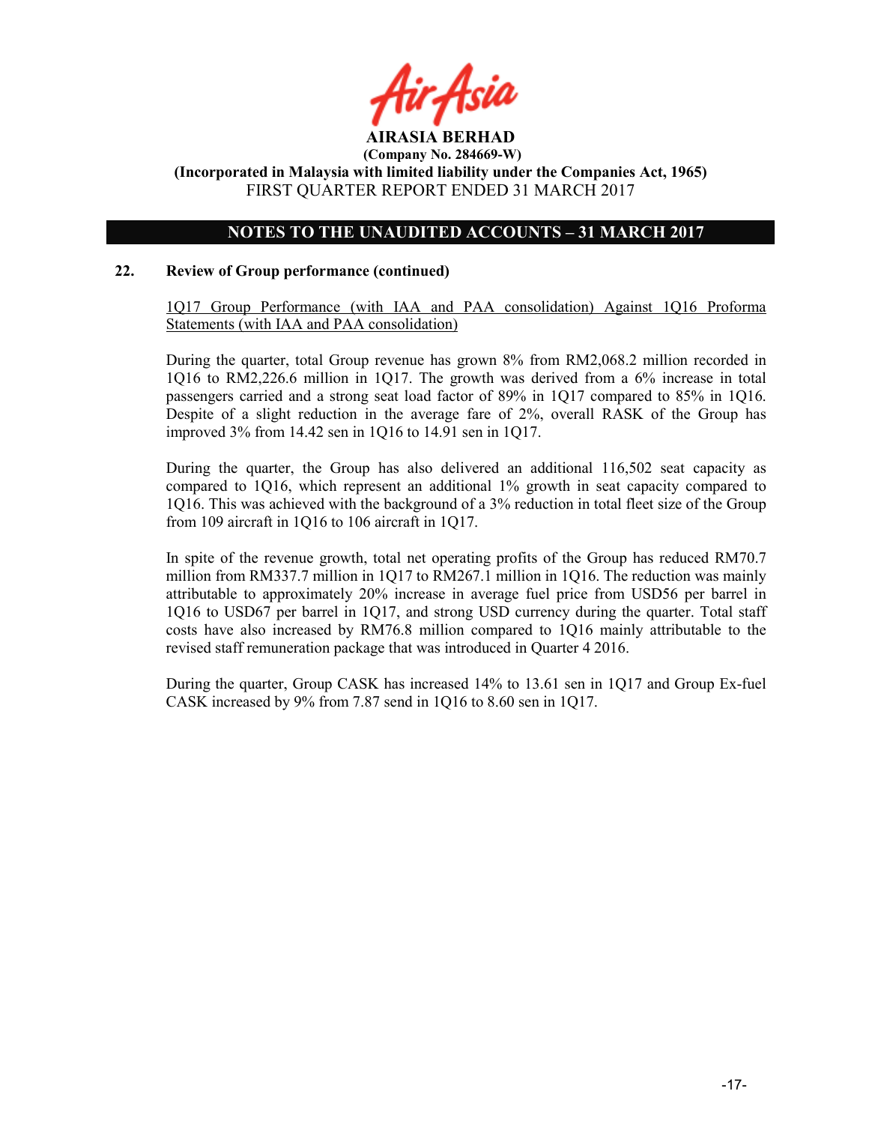

## NOTES TO THE UNAUDITED ACCOUNTS – 31 MARCH 2017

#### 22. Review of Group performance (continued)

1Q17 Group Performance (with IAA and PAA consolidation) Against 1Q16 Proforma Statements (with IAA and PAA consolidation)

During the quarter, total Group revenue has grown 8% from RM2,068.2 million recorded in 1Q16 to RM2,226.6 million in 1Q17. The growth was derived from a 6% increase in total passengers carried and a strong seat load factor of 89% in 1Q17 compared to 85% in 1Q16. Despite of a slight reduction in the average fare of 2%, overall RASK of the Group has improved 3% from 14.42 sen in 1Q16 to 14.91 sen in 1Q17.

During the quarter, the Group has also delivered an additional 116,502 seat capacity as compared to 1Q16, which represent an additional 1% growth in seat capacity compared to 1Q16. This was achieved with the background of a 3% reduction in total fleet size of the Group from 109 aircraft in 1Q16 to 106 aircraft in 1Q17.

In spite of the revenue growth, total net operating profits of the Group has reduced RM70.7 million from RM337.7 million in 1Q17 to RM267.1 million in 1Q16. The reduction was mainly attributable to approximately 20% increase in average fuel price from USD56 per barrel in 1Q16 to USD67 per barrel in 1Q17, and strong USD currency during the quarter. Total staff costs have also increased by RM76.8 million compared to 1Q16 mainly attributable to the revised staff remuneration package that was introduced in Quarter 4 2016.

During the quarter, Group CASK has increased 14% to 13.61 sen in 1Q17 and Group Ex-fuel CASK increased by 9% from 7.87 send in 1Q16 to 8.60 sen in 1Q17.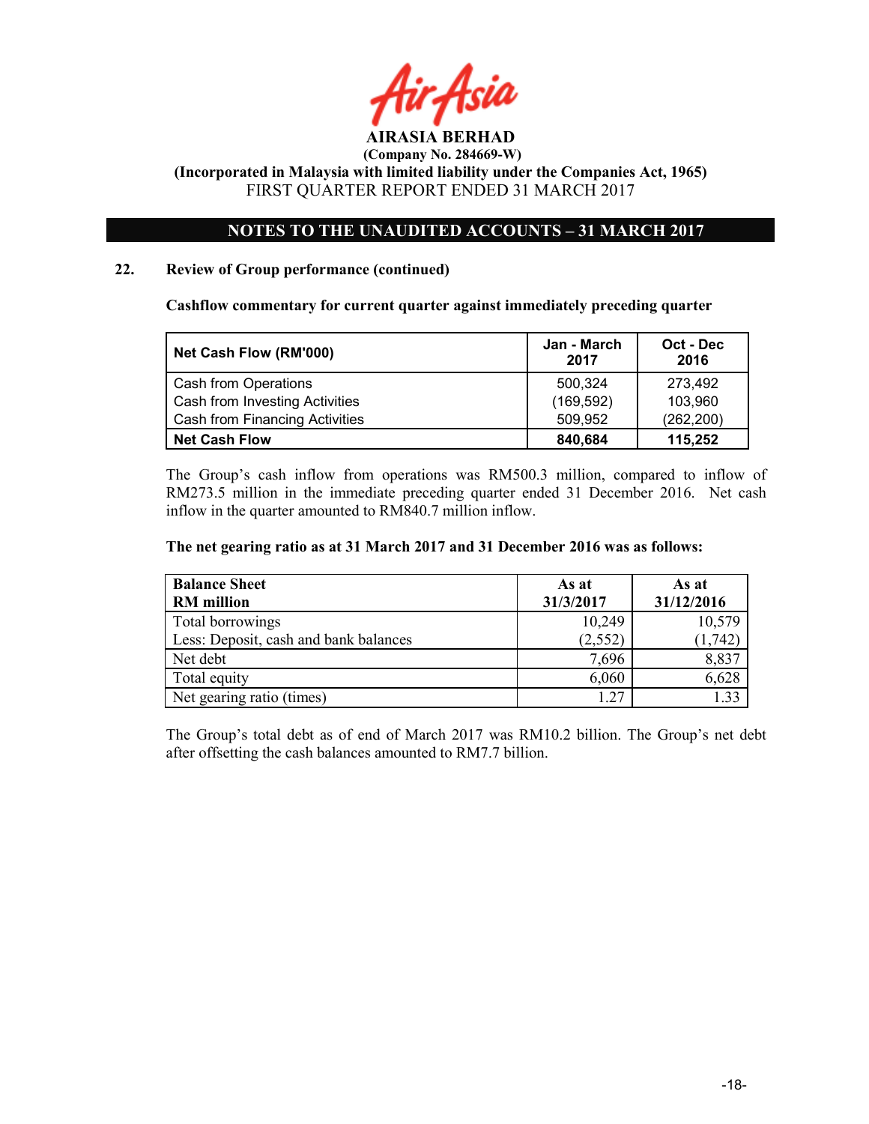

(Company No. 284669-W)

(Incorporated in Malaysia with limited liability under the Companies Act, 1965) FIRST QUARTER REPORT ENDED 31 MARCH 2017

# NOTES TO THE UNAUDITED ACCOUNTS – 31 MARCH 2017

#### 22. Review of Group performance (continued)

Cashflow commentary for current quarter against immediately preceding quarter

| Net Cash Flow (RM'000)                | Jan - March<br>2017 | Oct - Dec<br>2016 |
|---------------------------------------|---------------------|-------------------|
| Cash from Operations                  | 500.324             | 273,492           |
| Cash from Investing Activities        | (169, 592)          | 103,960           |
| <b>Cash from Financing Activities</b> | 509.952             | (262, 200)        |
| <b>Net Cash Flow</b>                  | 840,684             | 115,252           |

The Group's cash inflow from operations was RM500.3 million, compared to inflow of RM273.5 million in the immediate preceding quarter ended 31 December 2016. Net cash inflow in the quarter amounted to RM840.7 million inflow.

#### The net gearing ratio as at 31 March 2017 and 31 December 2016 was as follows:

| <b>Balance Sheet</b>                  | As at     | As at      |
|---------------------------------------|-----------|------------|
| <b>RM</b> million                     | 31/3/2017 | 31/12/2016 |
| Total borrowings                      | 10,249    | 10,579     |
| Less: Deposit, cash and bank balances | (2,552)   | (1,742)    |
| Net debt                              | 7,696     | 8,837      |
| Total equity                          | 6,060     | 6,628      |
| Net gearing ratio (times)             | 1.27      | 133        |

The Group's total debt as of end of March 2017 was RM10.2 billion. The Group's net debt after offsetting the cash balances amounted to RM7.7 billion.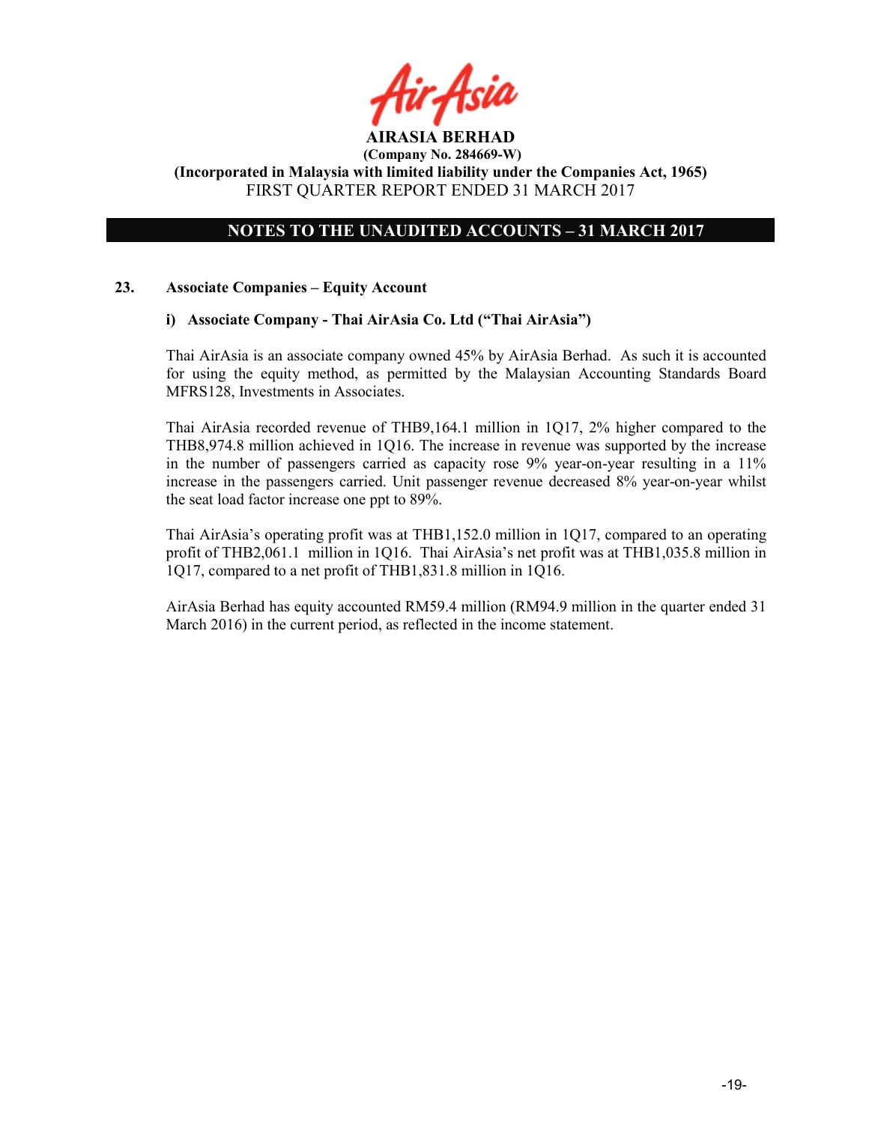

# NOTES TO THE UNAUDITED ACCOUNTS – 31 MARCH 2017

#### 23. Associate Companies – Equity Account

#### i) Associate Company - Thai AirAsia Co. Ltd ("Thai AirAsia")

Thai AirAsia is an associate company owned 45% by AirAsia Berhad. As such it is accounted for using the equity method, as permitted by the Malaysian Accounting Standards Board MFRS128, Investments in Associates.

Thai AirAsia recorded revenue of THB9,164.1 million in 1Q17, 2% higher compared to the THB8,974.8 million achieved in 1Q16. The increase in revenue was supported by the increase in the number of passengers carried as capacity rose 9% year-on-year resulting in a 11% increase in the passengers carried. Unit passenger revenue decreased 8% year-on-year whilst the seat load factor increase one ppt to 89%.

Thai AirAsia's operating profit was at THB1,152.0 million in 1Q17, compared to an operating profit of THB2,061.1 million in 1Q16. Thai AirAsia's net profit was at THB1,035.8 million in 1Q17, compared to a net profit of THB1,831.8 million in 1Q16.

AirAsia Berhad has equity accounted RM59.4 million (RM94.9 million in the quarter ended 31 March 2016) in the current period, as reflected in the income statement.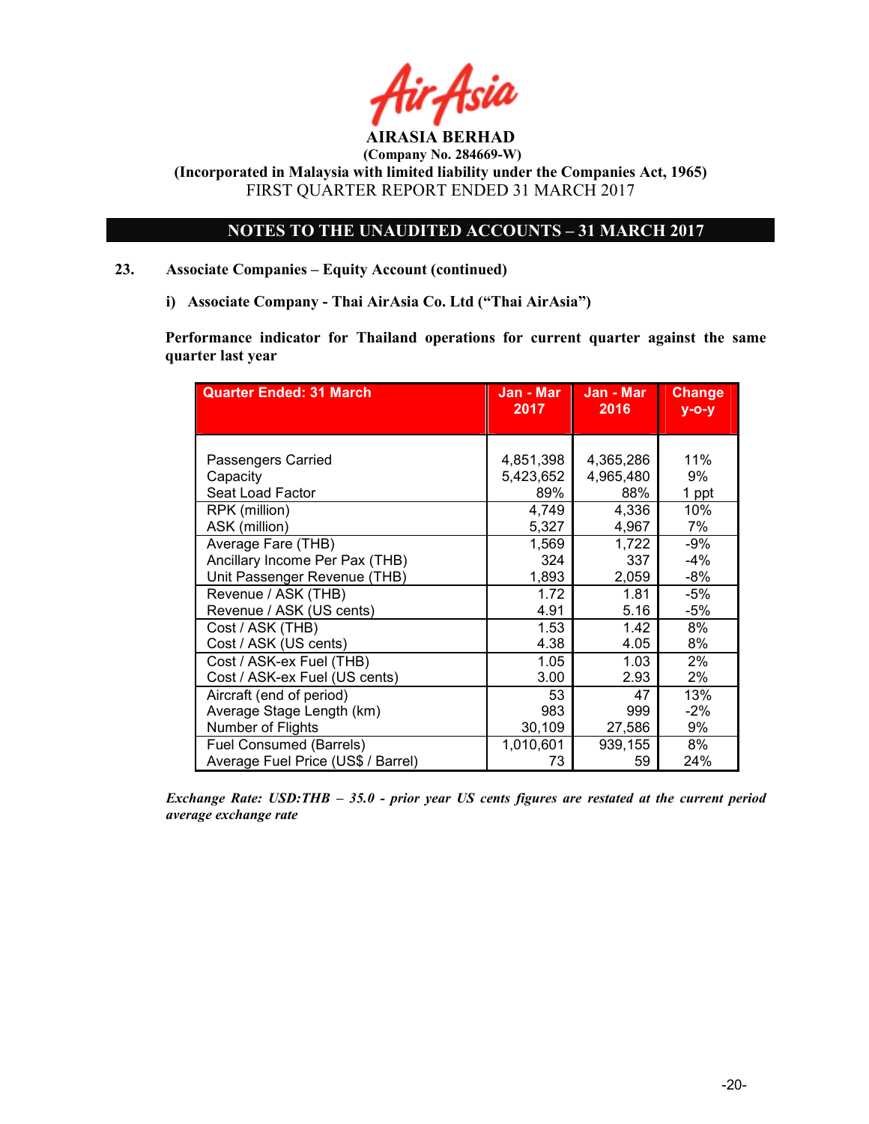

(Company No. 284669-W)

(Incorporated in Malaysia with limited liability under the Companies Act, 1965) FIRST QUARTER REPORT ENDED 31 MARCH 2017

# NOTES TO THE UNAUDITED ACCOUNTS – 31 MARCH 2017

- 23. Associate Companies Equity Account (continued)
	- i) Associate Company Thai AirAsia Co. Ltd ("Thai AirAsia")

Performance indicator for Thailand operations for current quarter against the same quarter last year

| <b>Quarter Ended: 31 March</b>     | Jan - Mar | Jan - Mar | <b>Change</b> |
|------------------------------------|-----------|-----------|---------------|
|                                    | 2017      | 2016      | $y - 0 - y$   |
| Passengers Carried                 | 4,851,398 | 4,365,286 | 11%           |
| Capacity                           | 5,423,652 | 4,965,480 | 9%            |
| Seat Load Factor                   | 89%       | 88%       | 1 ppt         |
| RPK (million)                      | 4,749     | 4,336     | 10%           |
| ASK (million)                      | 5,327     | 4,967     | 7%            |
| Average Fare (THB)                 | 1,569     | 1,722     | $-9%$         |
| Ancillary Income Per Pax (THB)     | 324       | 337       | -4%           |
| Unit Passenger Revenue (THB)       | 1,893     | 2,059     | $-8%$         |
| Revenue / ASK (THB)                | 1.72      | 1.81      | -5%           |
| Revenue / ASK (US cents)           | 4.91      | 5.16      | $-5%$         |
| Cost / ASK (THB)                   | 1.53      | 1.42      | 8%            |
| Cost / ASK (US cents)              | 4.38      | 4.05      | 8%            |
| Cost / ASK-ex Fuel (THB)           | 1.05      | 1.03      | 2%            |
| Cost / ASK-ex Fuel (US cents)      | 3.00      | 2.93      | 2%            |
| Aircraft (end of period)           | 53        | 47        | 13%           |
| Average Stage Length (km)          | 983       | 999       | $-2%$         |
| Number of Flights                  | 30,109    | 27,586    | 9%            |
| Fuel Consumed (Barrels)            | 1,010,601 | 939,155   | 8%            |
| Average Fuel Price (US\$ / Barrel) | 73        | 59        | 24%           |

Exchange Rate: USD:THB – 35.0 - prior year US cents figures are restated at the current period average exchange rate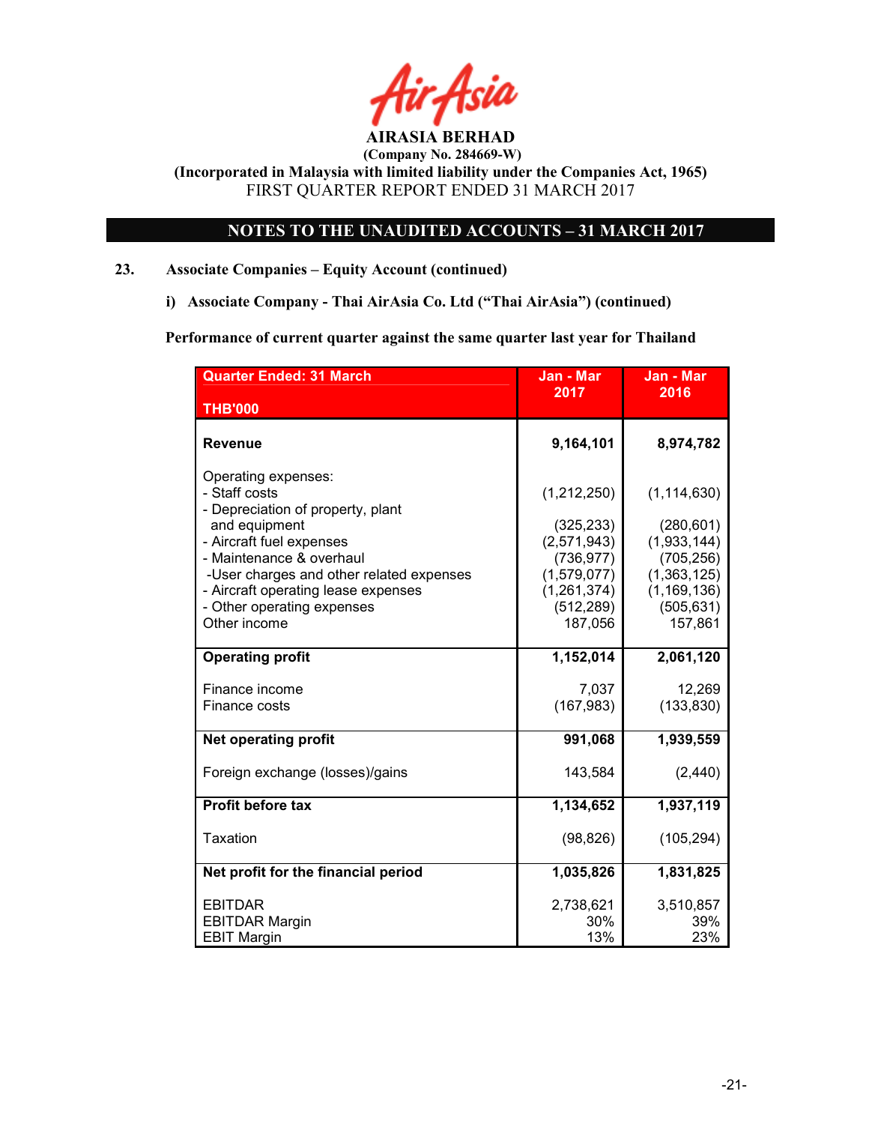

(Company No. 284669-W)

(Incorporated in Malaysia with limited liability under the Companies Act, 1965) FIRST QUARTER REPORT ENDED 31 MARCH 2017

# NOTES TO THE UNAUDITED ACCOUNTS – 31 MARCH 2017

# 23. Associate Companies – Equity Account (continued)

i) Associate Company - Thai AirAsia Co. Ltd ("Thai AirAsia") (continued)

Performance of current quarter against the same quarter last year for Thailand

| <b>Quarter Ended: 31 March</b>                                            | Jan - Mar<br>2017           | Jan - Mar<br>2016           |
|---------------------------------------------------------------------------|-----------------------------|-----------------------------|
| <b>THB'000</b>                                                            |                             |                             |
| <b>Revenue</b>                                                            | 9,164,101                   | 8,974,782                   |
| Operating expenses:<br>- Staff costs<br>- Depreciation of property, plant | (1,212,250)                 | (1, 114, 630)               |
| and equipment                                                             | (325, 233)                  | (280, 601)                  |
| - Aircraft fuel expenses                                                  | (2,571,943)                 | (1,933,144)                 |
| - Maintenance & overhaul                                                  | (736, 977)                  | (705, 256)                  |
| -User charges and other related expenses                                  | (1,579,077)                 | (1,363,125)                 |
| - Aircraft operating lease expenses<br>- Other operating expenses         | (1, 261, 374)<br>(512, 289) | (1, 169, 136)<br>(505, 631) |
| Other income                                                              | 187,056                     | 157,861                     |
|                                                                           |                             |                             |
| <b>Operating profit</b>                                                   | 1,152,014                   | 2,061,120                   |
|                                                                           |                             |                             |
| Finance income<br>Finance costs                                           | 7,037<br>(167, 983)         | 12,269                      |
|                                                                           |                             | (133, 830)                  |
| <b>Net operating profit</b>                                               | 991,068                     | 1,939,559                   |
| Foreign exchange (losses)/gains                                           | 143,584                     | (2, 440)                    |
| <b>Profit before tax</b>                                                  | 1,134,652                   | 1,937,119                   |
| Taxation                                                                  | (98, 826)                   | (105, 294)                  |
| Net profit for the financial period                                       | 1,035,826                   | 1,831,825                   |
| <b>EBITDAR</b><br><b>EBITDAR Margin</b>                                   | 2,738,621<br>30%            | 3,510,857<br>39%            |
| <b>EBIT Margin</b>                                                        | 13%                         | 23%                         |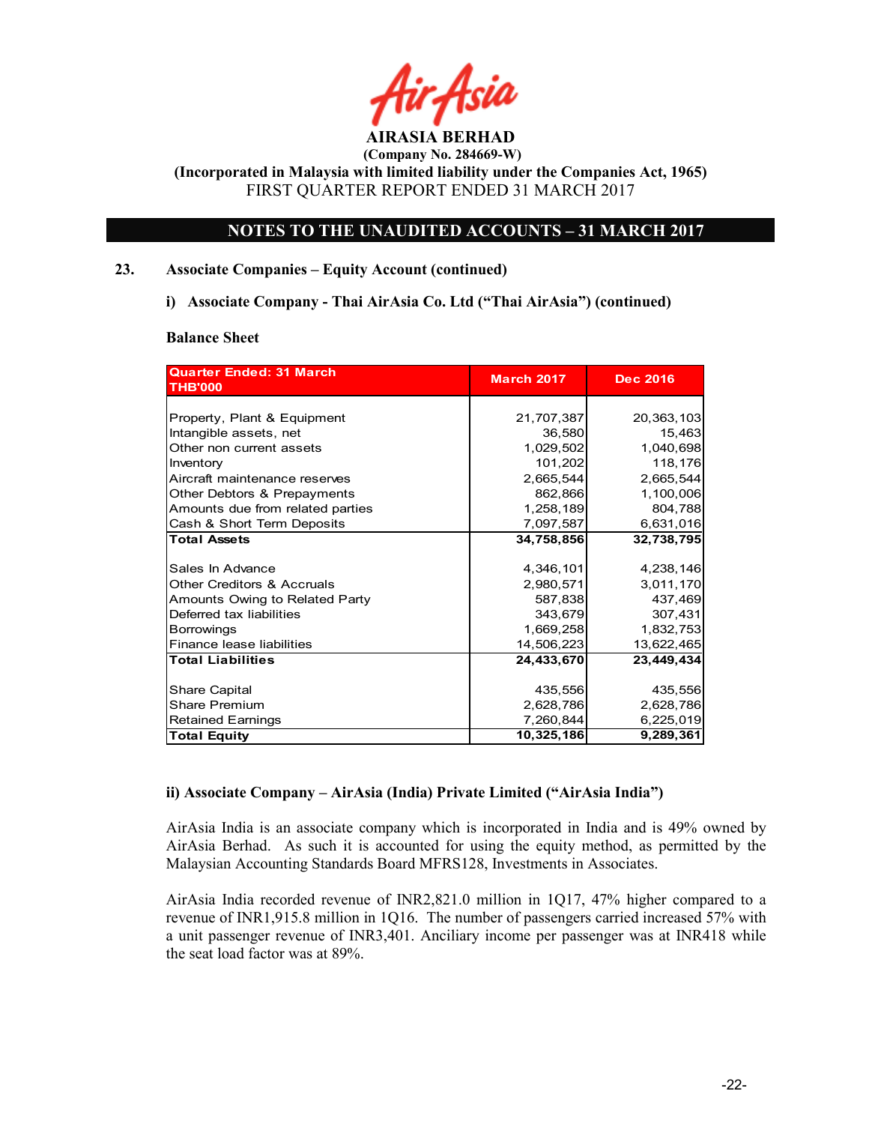

# NOTES TO THE UNAUDITED ACCOUNTS – 31 MARCH 2017

### 23. Associate Companies – Equity Account (continued)

i) Associate Company - Thai AirAsia Co. Ltd ("Thai AirAsia") (continued)

#### Balance Sheet

| 21,707,387<br>36,580<br>1,029,502<br>101,202<br>2,665,544<br>862,866<br>1,258,189 | 20,363,103<br>15,463<br>1,040,698<br>118,176<br>2,665,544<br>1,100,006<br>804,788 |
|-----------------------------------------------------------------------------------|-----------------------------------------------------------------------------------|
|                                                                                   |                                                                                   |
|                                                                                   |                                                                                   |
|                                                                                   |                                                                                   |
|                                                                                   |                                                                                   |
|                                                                                   |                                                                                   |
|                                                                                   |                                                                                   |
|                                                                                   |                                                                                   |
|                                                                                   |                                                                                   |
|                                                                                   | 6,631,016                                                                         |
| 34,758,856                                                                        | 32,738,795                                                                        |
| 4,346,101                                                                         | 4,238,146                                                                         |
| 2,980,571                                                                         | 3,011,170                                                                         |
| 587,838                                                                           | 437,469                                                                           |
| 343,679                                                                           | 307,431                                                                           |
| 1,669,258                                                                         | 1,832,753                                                                         |
| 14,506,223                                                                        | 13,622,465                                                                        |
| 24,433,670                                                                        | 23,449,434                                                                        |
|                                                                                   | 435,556                                                                           |
|                                                                                   | 2,628,786                                                                         |
|                                                                                   | 6,225,019                                                                         |
|                                                                                   | 9,289,361                                                                         |
|                                                                                   | 7,097,587<br>435,556<br>2,628,786<br>7,260,844<br>10,325,186                      |

#### ii) Associate Company – AirAsia (India) Private Limited ("AirAsia India")

AirAsia India is an associate company which is incorporated in India and is 49% owned by AirAsia Berhad. As such it is accounted for using the equity method, as permitted by the Malaysian Accounting Standards Board MFRS128, Investments in Associates.

AirAsia India recorded revenue of INR2,821.0 million in 1Q17, 47% higher compared to a revenue of INR1,915.8 million in 1Q16. The number of passengers carried increased 57% with a unit passenger revenue of INR3,401. Anciliary income per passenger was at INR418 while the seat load factor was at 89%.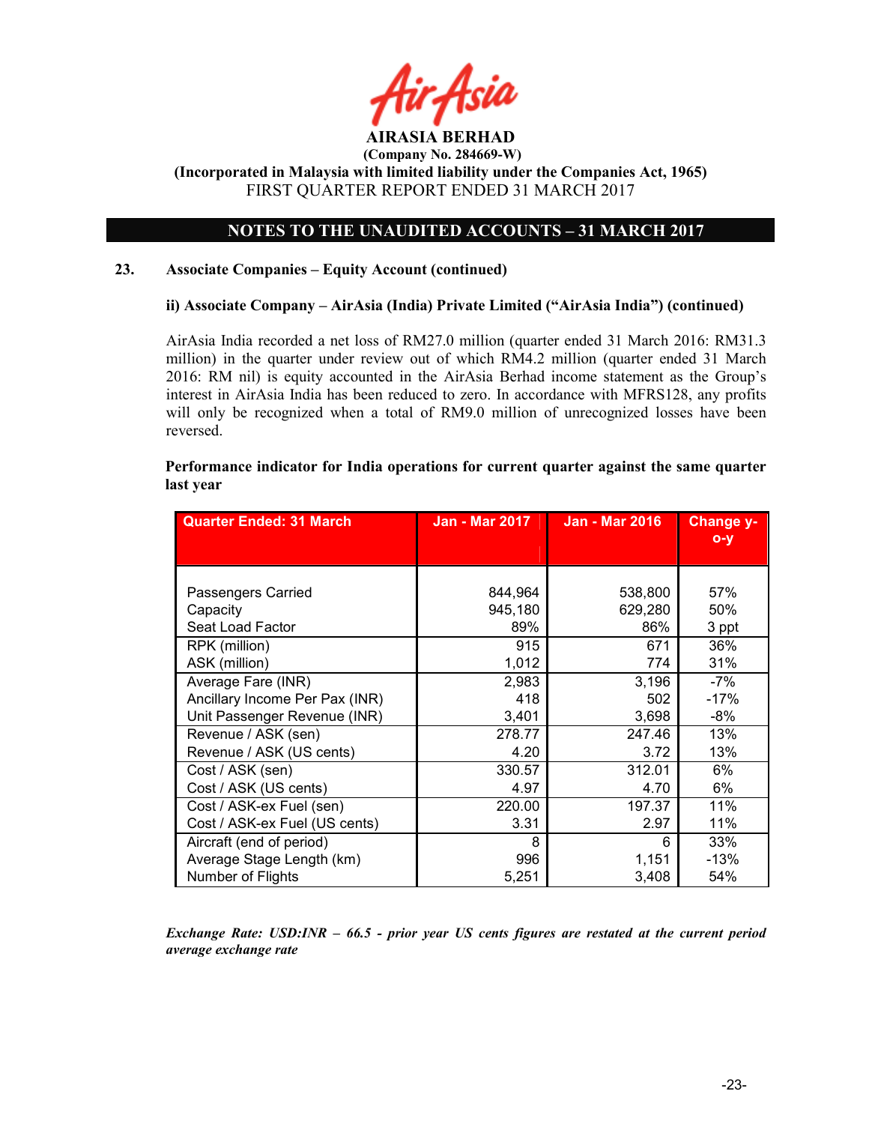

# NOTES TO THE UNAUDITED ACCOUNTS – 31 MARCH 2017

#### 23. Associate Companies – Equity Account (continued)

#### ii) Associate Company – AirAsia (India) Private Limited ("AirAsia India") (continued)

AirAsia India recorded a net loss of RM27.0 million (quarter ended 31 March 2016: RM31.3 million) in the quarter under review out of which RM4.2 million (quarter ended 31 March 2016: RM nil) is equity accounted in the AirAsia Berhad income statement as the Group's interest in AirAsia India has been reduced to zero. In accordance with MFRS128, any profits will only be recognized when a total of RM9.0 million of unrecognized losses have been reversed.

| <b>Quarter Ended: 31 March</b> | Jan - Mar 2017 | <b>Jan - Mar 2016</b> | Change y-<br>$O - Y$ |
|--------------------------------|----------------|-----------------------|----------------------|
|                                |                |                       |                      |
|                                |                |                       |                      |
| Passengers Carried             | 844,964        | 538,800               | 57%                  |
| Capacity                       | 945,180        | 629,280               | 50%                  |
| Seat Load Factor               | 89%            | 86%                   | 3 ppt                |
| RPK (million)                  | 915            | 671                   | 36%                  |
| ASK (million)                  | 1,012          | 774                   | 31%                  |
| Average Fare (INR)             | 2,983          | 3,196                 | $-7\%$               |
| Ancillary Income Per Pax (INR) | 418            | 502                   | $-17%$               |
| Unit Passenger Revenue (INR)   | 3,401          | 3,698                 | -8%                  |
| Revenue / ASK (sen)            | 278.77         | 247.46                | 13%                  |
| Revenue / ASK (US cents)       | 4.20           | 3.72                  | 13%                  |
| Cost / ASK (sen)               | 330.57         | 312.01                | 6%                   |
| Cost / ASK (US cents)          | 4.97           | 4.70                  | 6%                   |
| Cost / ASK-ex Fuel (sen)       | 220.00         | 197.37                | 11%                  |
| Cost / ASK-ex Fuel (US cents)  | 3.31           | 2.97                  | 11%                  |
| Aircraft (end of period)       | 8              | 6                     | 33%                  |
| Average Stage Length (km)      | 996            | 1,151                 | $-13%$               |
| Number of Flights              | 5,251          | 3,408                 | 54%                  |

Performance indicator for India operations for current quarter against the same quarter last year

Exchange Rate: USD:INR – 66.5 - prior year US cents figures are restated at the current period average exchange rate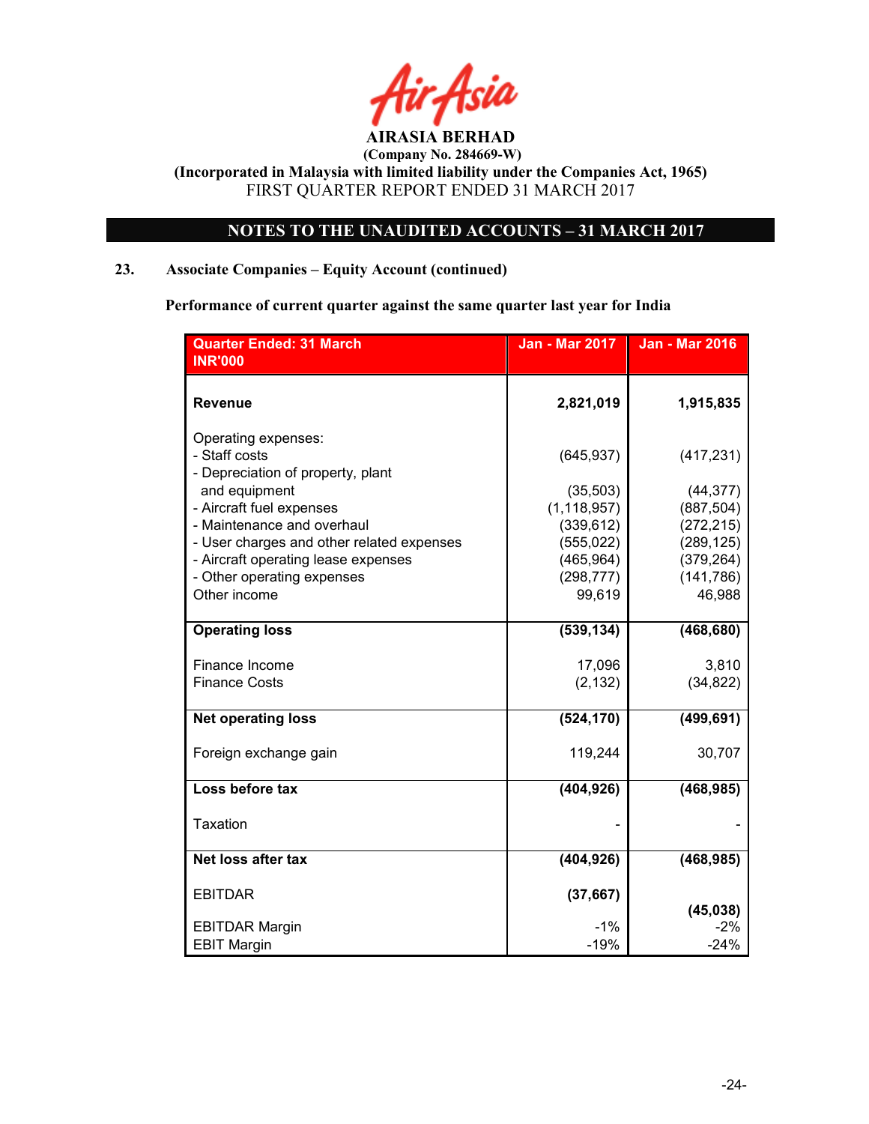

# NOTES TO THE UNAUDITED ACCOUNTS – 31 MARCH 2017

# 23. Associate Companies – Equity Account (continued)

Performance of current quarter against the same quarter last year for India

| <b>Quarter Ended: 31 March</b>            | <b>Jan - Mar 2017</b> | <b>Jan - Mar 2016</b> |
|-------------------------------------------|-----------------------|-----------------------|
| <b>INR'000</b>                            |                       |                       |
|                                           |                       |                       |
| <b>Revenue</b>                            | 2,821,019             | 1,915,835             |
|                                           |                       |                       |
| Operating expenses:                       |                       |                       |
| - Staff costs                             | (645, 937)            | (417, 231)            |
| - Depreciation of property, plant         |                       |                       |
| and equipment                             | (35, 503)             | (44, 377)             |
| - Aircraft fuel expenses                  | (1, 118, 957)         | (887, 504)            |
| - Maintenance and overhaul                | (339, 612)            | (272, 215)            |
| - User charges and other related expenses | (555, 022)            | (289, 125)            |
| - Aircraft operating lease expenses       | (465, 964)            | (379, 264)            |
| - Other operating expenses                | (298, 777)            | (141, 786)            |
| Other income                              | 99,619                | 46,988                |
|                                           |                       |                       |
| <b>Operating loss</b>                     | (539, 134)            | (468, 680)            |
|                                           |                       |                       |
| Finance Income                            | 17,096                | 3,810                 |
| <b>Finance Costs</b>                      | (2, 132)              | (34, 822)             |
| <b>Net operating loss</b>                 | (524, 170)            | (499, 691)            |
|                                           |                       |                       |
| Foreign exchange gain                     | 119,244               | 30,707                |
|                                           |                       |                       |
| Loss before tax                           | (404, 926)            | (468, 985)            |
|                                           |                       |                       |
| <b>Taxation</b>                           |                       |                       |
|                                           |                       |                       |
| Net loss after tax                        | (404, 926)            | (468, 985)            |
|                                           |                       |                       |
| <b>EBITDAR</b>                            | (37, 667)             |                       |
|                                           |                       | (45, 038)             |
| <b>EBITDAR Margin</b>                     | $-1%$                 | $-2\%$                |
| <b>EBIT Margin</b>                        | $-19%$                | $-24%$                |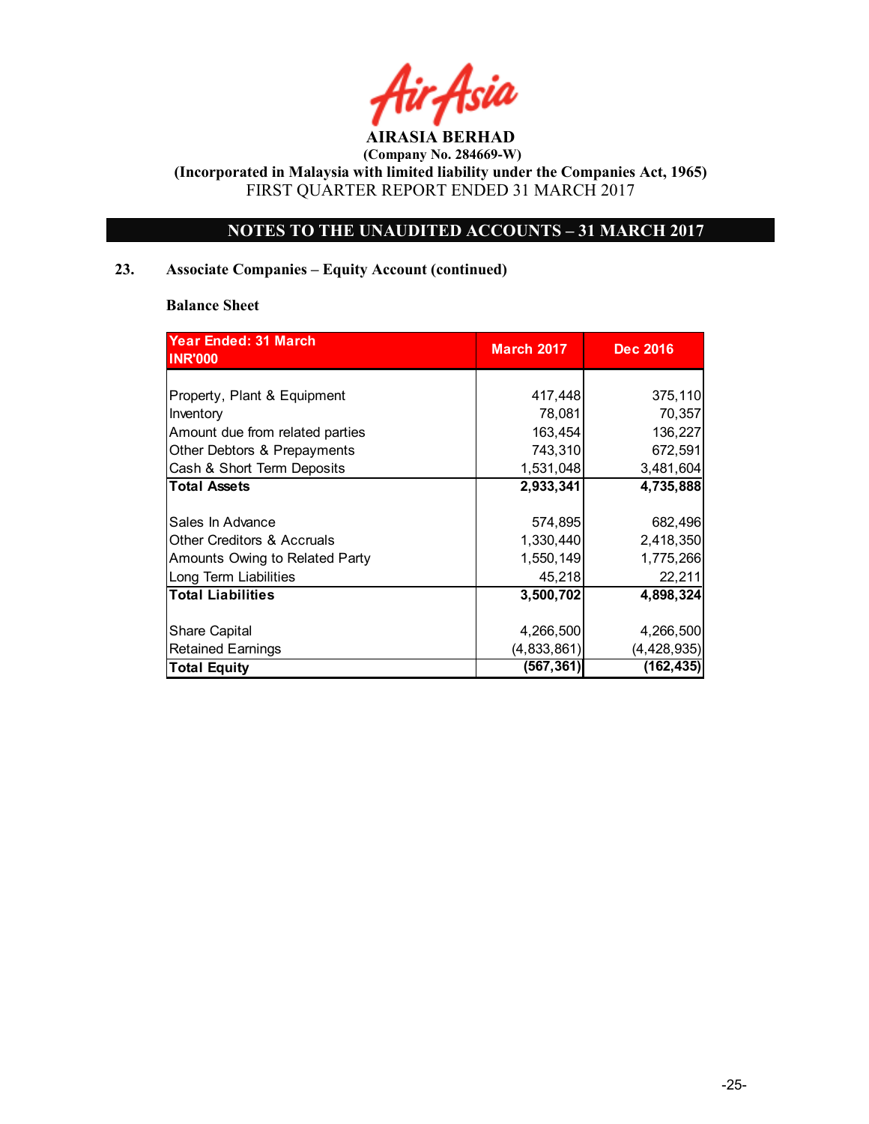

 (Company No. 284669-W) (Incorporated in Malaysia with limited liability under the Companies Act, 1965)

FIRST QUARTER REPORT ENDED 31 MARCH 2017

# NOTES TO THE UNAUDITED ACCOUNTS – 31 MARCH 2017

# 23. Associate Companies – Equity Account (continued)

#### Balance Sheet

| Year Ended: 31 March<br><b>INR'000</b> | <b>March 2017</b> | <b>Dec 2016</b> |
|----------------------------------------|-------------------|-----------------|
|                                        |                   |                 |
| Property, Plant & Equipment            | 417,448           | 375,110         |
| Inventory                              | 78,081            | 70,357          |
| Amount due from related parties        | 163,454           | 136,227         |
| Other Debtors & Prepayments            | 743,310           | 672,591         |
| Cash & Short Term Deposits             | 1,531,048         | 3,481,604       |
| <b>Total Assets</b>                    | 2,933,341         | 4,735,888       |
|                                        |                   |                 |
| Sales In Advance                       | 574,895           | 682,496         |
| <b>Other Creditors &amp; Accruals</b>  | 1,330,440         | 2,418,350       |
| Amounts Owing to Related Party         | 1,550,149         | 1,775,266       |
| Long Term Liabilities                  | 45,218            | 22,211          |
| <b>Total Liabilities</b>               | 3,500,702         | 4,898,324       |
|                                        |                   |                 |
| <b>Share Capital</b>                   | 4,266,500         | 4,266,500       |
| <b>Retained Earnings</b>               | (4,833,861)       | (4, 428, 935)   |
| <b>Total Equity</b>                    | (567, 361)        | (162, 435)      |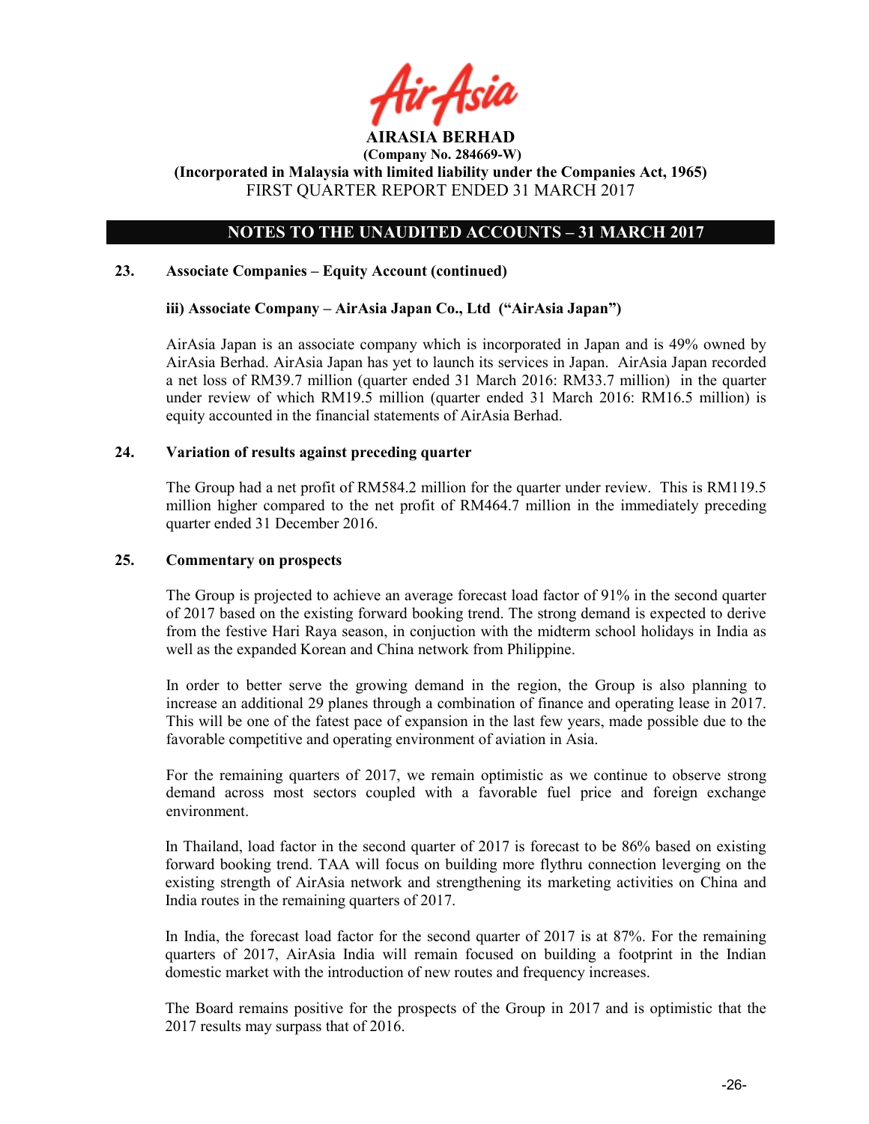

# NOTES TO THE UNAUDITED ACCOUNTS – 31 MARCH 2017

#### 23. Associate Companies – Equity Account (continued)

#### iii) Associate Company – AirAsia Japan Co., Ltd ("AirAsia Japan")

AirAsia Japan is an associate company which is incorporated in Japan and is 49% owned by AirAsia Berhad. AirAsia Japan has yet to launch its services in Japan. AirAsia Japan recorded a net loss of RM39.7 million (quarter ended 31 March 2016: RM33.7 million) in the quarter under review of which RM19.5 million (quarter ended 31 March 2016: RM16.5 million) is equity accounted in the financial statements of AirAsia Berhad.

#### 24. Variation of results against preceding quarter

The Group had a net profit of RM584.2 million for the quarter under review. This is RM119.5 million higher compared to the net profit of RM464.7 million in the immediately preceding quarter ended 31 December 2016.

#### 25. Commentary on prospects

The Group is projected to achieve an average forecast load factor of 91% in the second quarter of 2017 based on the existing forward booking trend. The strong demand is expected to derive from the festive Hari Raya season, in conjuction with the midterm school holidays in India as well as the expanded Korean and China network from Philippine.

In order to better serve the growing demand in the region, the Group is also planning to increase an additional 29 planes through a combination of finance and operating lease in 2017. This will be one of the fatest pace of expansion in the last few years, made possible due to the favorable competitive and operating environment of aviation in Asia.

For the remaining quarters of 2017, we remain optimistic as we continue to observe strong demand across most sectors coupled with a favorable fuel price and foreign exchange environment.

In Thailand, load factor in the second quarter of 2017 is forecast to be 86% based on existing forward booking trend. TAA will focus on building more flythru connection leverging on the existing strength of AirAsia network and strengthening its marketing activities on China and India routes in the remaining quarters of 2017.

In India, the forecast load factor for the second quarter of 2017 is at 87%. For the remaining quarters of 2017, AirAsia India will remain focused on building a footprint in the Indian domestic market with the introduction of new routes and frequency increases.

The Board remains positive for the prospects of the Group in 2017 and is optimistic that the 2017 results may surpass that of 2016.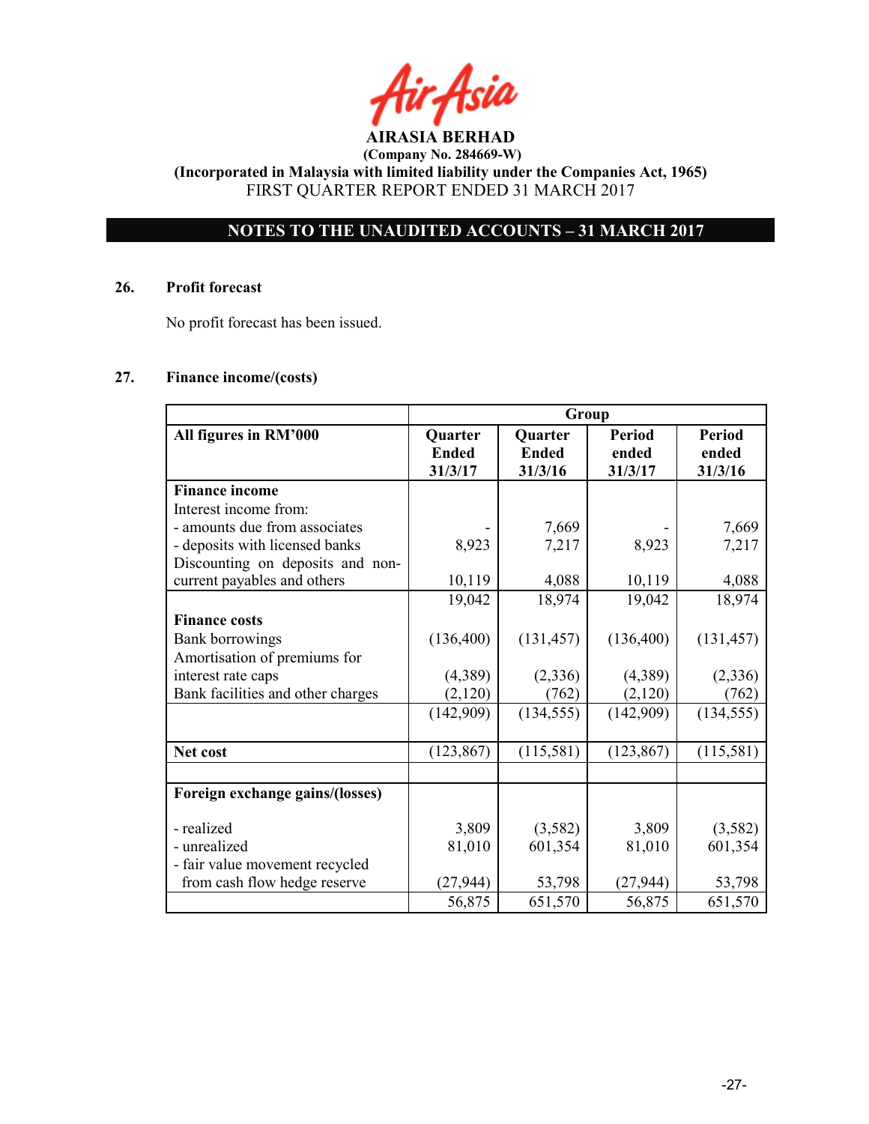# NOTES TO THE UNAUDITED ACCOUNTS – 31 MARCH 2017

#### 26. Profit forecast

No profit forecast has been issued.

# 27. Finance income/(costs)

|                                   | Group                              |                                           |                                   |                                   |
|-----------------------------------|------------------------------------|-------------------------------------------|-----------------------------------|-----------------------------------|
| All figures in RM'000             | Quarter<br><b>Ended</b><br>31/3/17 | <b>Quarter</b><br><b>Ended</b><br>31/3/16 | <b>Period</b><br>ended<br>31/3/17 | <b>Period</b><br>ended<br>31/3/16 |
| <b>Finance income</b>             |                                    |                                           |                                   |                                   |
| Interest income from:             |                                    |                                           |                                   |                                   |
| - amounts due from associates     |                                    | 7,669                                     |                                   | 7,669                             |
| - deposits with licensed banks    | 8,923                              | 7,217                                     | 8,923                             | 7,217                             |
| Discounting on deposits and non-  |                                    |                                           |                                   |                                   |
| current payables and others       | 10,119                             | 4,088                                     | 10,119                            | 4,088                             |
|                                   | 19,042                             | 18,974                                    | 19,042                            | 18,974                            |
| <b>Finance costs</b>              |                                    |                                           |                                   |                                   |
| Bank borrowings                   | (136,400)                          | (131, 457)                                | (136,400)                         | (131, 457)                        |
| Amortisation of premiums for      |                                    |                                           |                                   |                                   |
| interest rate caps                | (4,389)                            | (2,336)                                   | (4,389)                           | (2,336)                           |
| Bank facilities and other charges | (2,120)                            | (762)                                     | (2,120)                           | (762)                             |
|                                   | (142,909)                          | (134, 555)                                | (142,909)                         | (134, 555)                        |
|                                   |                                    |                                           |                                   |                                   |
| Net cost                          | (123, 867)                         | (115,581)                                 | (123, 867)                        | (115,581)                         |
|                                   |                                    |                                           |                                   |                                   |
| Foreign exchange gains/(losses)   |                                    |                                           |                                   |                                   |
| - realized                        | 3,809                              | (3,582)                                   | 3,809                             | (3,582)                           |
| - unrealized                      | 81,010                             | 601,354                                   | 81,010                            | 601,354                           |
| - fair value movement recycled    |                                    |                                           |                                   |                                   |
| from cash flow hedge reserve      | (27, 944)                          | 53,798                                    | (27, 944)                         | 53,798                            |
|                                   | 56,875                             | 651,570                                   | 56,875                            | 651,570                           |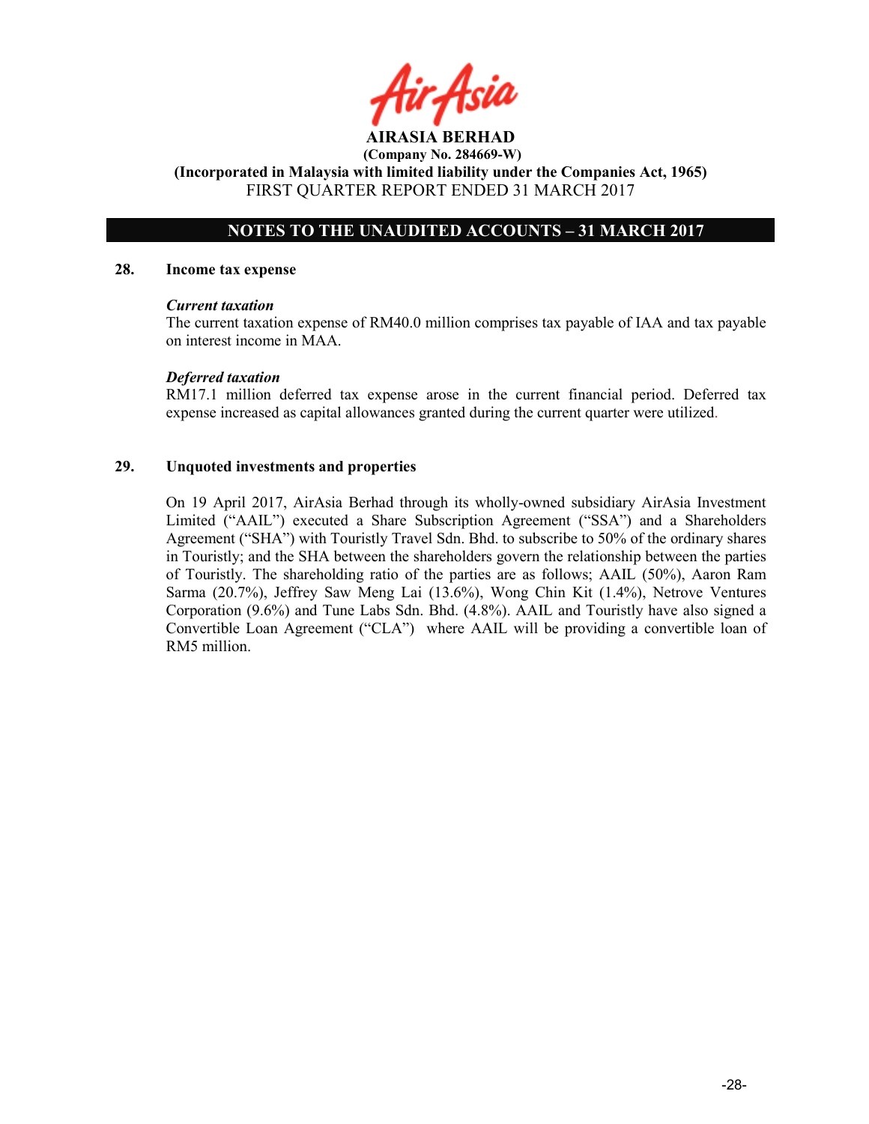# NOTES TO THE UNAUDITED ACCOUNTS – 31 MARCH 2017

#### 28. Income tax expense

#### Current taxation

The current taxation expense of RM40.0 million comprises tax payable of IAA and tax payable on interest income in MAA.

#### Deferred taxation

RM17.1 million deferred tax expense arose in the current financial period. Deferred tax expense increased as capital allowances granted during the current quarter were utilized.

#### 29. Unquoted investments and properties

On 19 April 2017, AirAsia Berhad through its wholly-owned subsidiary AirAsia Investment Limited ("AAIL") executed a Share Subscription Agreement ("SSA") and a Shareholders Agreement ("SHA") with Touristly Travel Sdn. Bhd. to subscribe to 50% of the ordinary shares in Touristly; and the SHA between the shareholders govern the relationship between the parties of Touristly. The shareholding ratio of the parties are as follows; AAIL (50%), Aaron Ram Sarma (20.7%), Jeffrey Saw Meng Lai (13.6%), Wong Chin Kit (1.4%), Netrove Ventures Corporation (9.6%) and Tune Labs Sdn. Bhd. (4.8%). AAIL and Touristly have also signed a Convertible Loan Agreement ("CLA") where AAIL will be providing a convertible loan of RM5 million.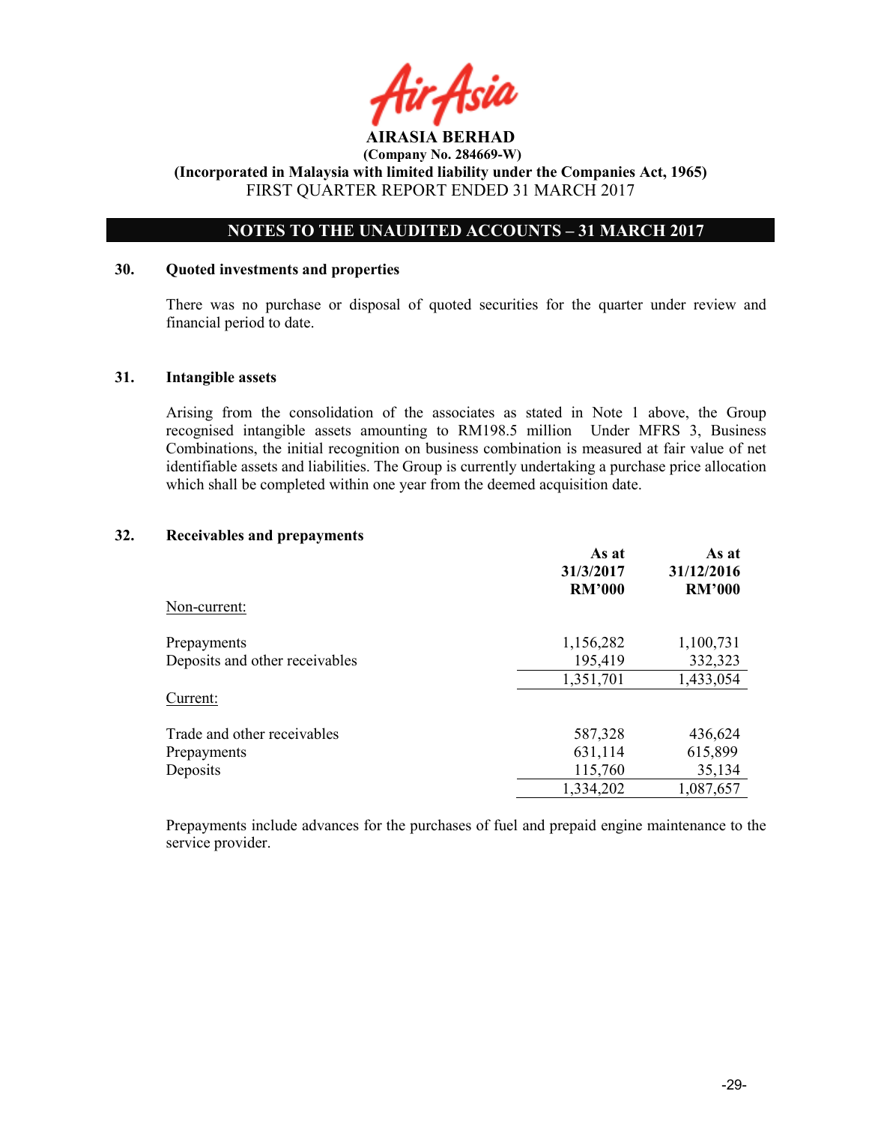

# NOTES TO THE UNAUDITED ACCOUNTS – 31 MARCH 2017

#### 30. Quoted investments and properties

There was no purchase or disposal of quoted securities for the quarter under review and financial period to date.

#### 31. Intangible assets

Arising from the consolidation of the associates as stated in Note 1 above, the Group recognised intangible assets amounting to RM198.5 million Under MFRS 3, Business Combinations, the initial recognition on business combination is measured at fair value of net identifiable assets and liabilities. The Group is currently undertaking a purchase price allocation which shall be completed within one year from the deemed acquisition date.

#### 32. Receivables and prepayments

|                                | As at<br>31/3/2017<br><b>RM'000</b> | As at<br>31/12/2016<br><b>RM'000</b> |
|--------------------------------|-------------------------------------|--------------------------------------|
| Non-current:                   |                                     |                                      |
| Prepayments                    | 1,156,282                           | 1,100,731                            |
| Deposits and other receivables | 195,419                             | 332,323                              |
|                                | 1,351,701                           | 1,433,054                            |
| Current:                       |                                     |                                      |
| Trade and other receivables    | 587,328                             | 436,624                              |
| Prepayments                    | 631,114                             | 615,899                              |
| Deposits                       | 115,760                             | 35,134                               |
|                                | 1,334,202                           | 1,087,657                            |

Prepayments include advances for the purchases of fuel and prepaid engine maintenance to the service provider.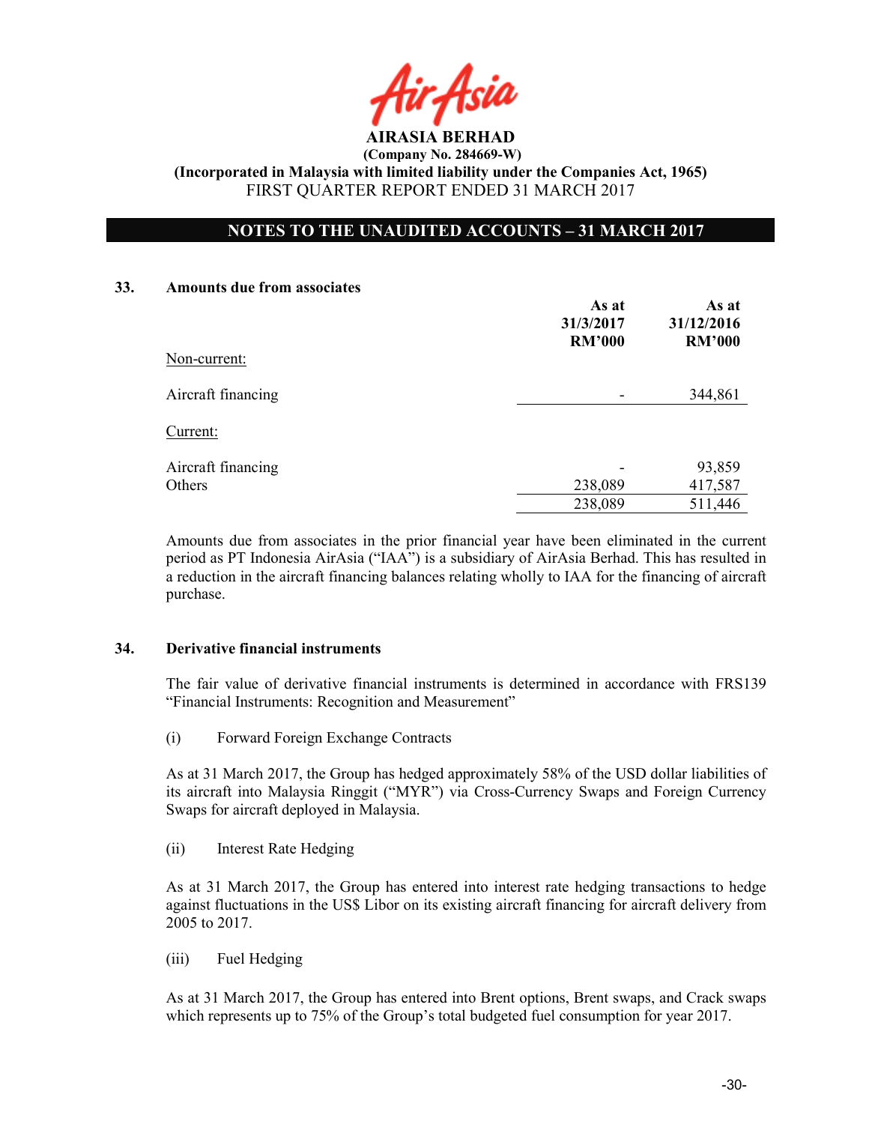

# NOTES TO THE UNAUDITED ACCOUNTS – 31 MARCH 2017

#### 33. Amounts due from associates

|                    | As at<br>31/3/2017<br><b>RM'000</b> | As at<br>31/12/2016<br><b>RM'000</b> |
|--------------------|-------------------------------------|--------------------------------------|
| Non-current:       |                                     |                                      |
| Aircraft financing |                                     | 344,861                              |
| Current:           |                                     |                                      |
| Aircraft financing |                                     | 93,859                               |
| Others             | 238,089                             | 417,587                              |
|                    | 238,089                             | 511,446                              |

Amounts due from associates in the prior financial year have been eliminated in the current period as PT Indonesia AirAsia ("IAA") is a subsidiary of AirAsia Berhad. This has resulted in a reduction in the aircraft financing balances relating wholly to IAA for the financing of aircraft purchase.

#### 34. Derivative financial instruments

The fair value of derivative financial instruments is determined in accordance with FRS139 "Financial Instruments: Recognition and Measurement"

(i) Forward Foreign Exchange Contracts

As at 31 March 2017, the Group has hedged approximately 58% of the USD dollar liabilities of its aircraft into Malaysia Ringgit ("MYR") via Cross-Currency Swaps and Foreign Currency Swaps for aircraft deployed in Malaysia.

(ii) Interest Rate Hedging

As at 31 March 2017, the Group has entered into interest rate hedging transactions to hedge against fluctuations in the US\$ Libor on its existing aircraft financing for aircraft delivery from 2005 to 2017.

(iii) Fuel Hedging

As at 31 March 2017, the Group has entered into Brent options, Brent swaps, and Crack swaps which represents up to 75% of the Group's total budgeted fuel consumption for year 2017.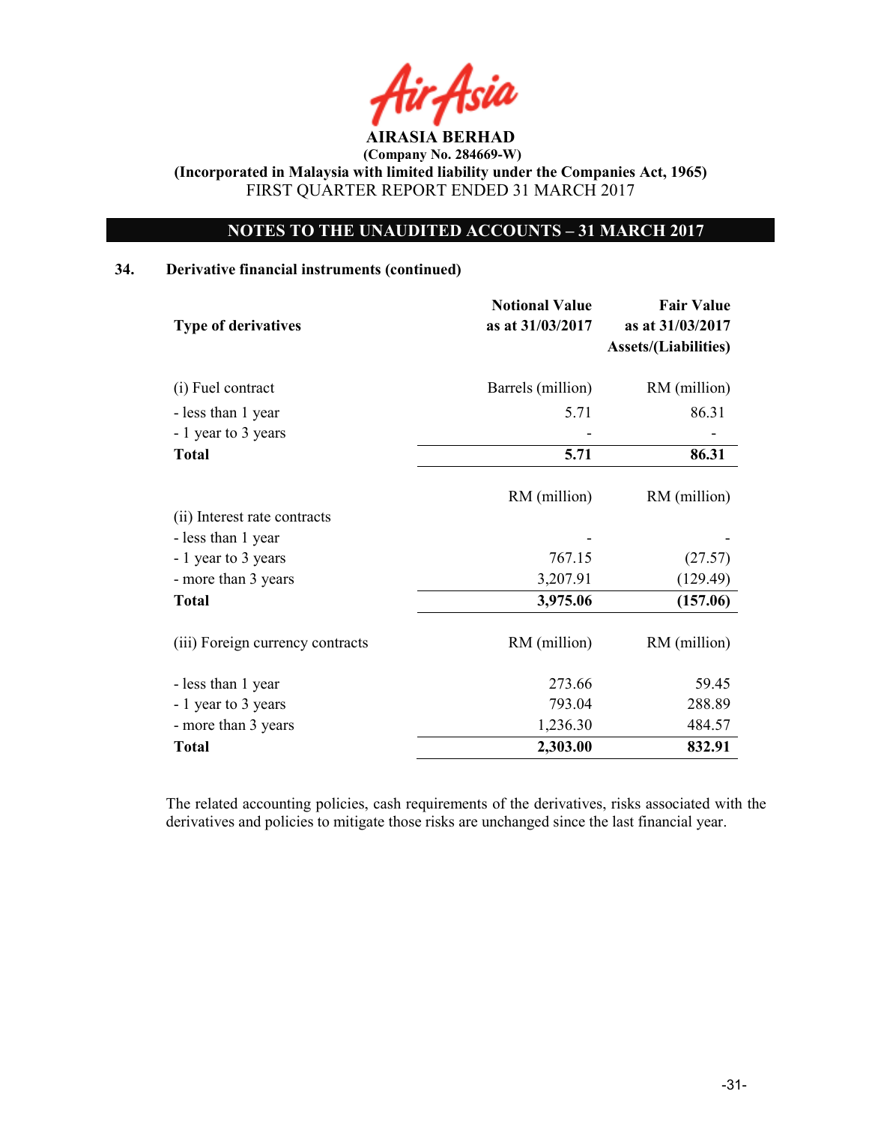AIRASIA BERHAD

# NOTES TO THE UNAUDITED ACCOUNTS – 31 MARCH 2017

#### 34. Derivative financial instruments (continued)

| <b>Type of derivatives</b>       | <b>Notional Value</b><br>as at 31/03/2017 | <b>Fair Value</b><br>as at 31/03/2017<br><b>Assets/(Liabilities)</b> |
|----------------------------------|-------------------------------------------|----------------------------------------------------------------------|
| (i) Fuel contract                | Barrels (million)                         | RM (million)                                                         |
| - less than 1 year               | 5.71                                      | 86.31                                                                |
| - 1 year to 3 years              |                                           |                                                                      |
| <b>Total</b>                     | 5.71                                      | 86.31                                                                |
|                                  | RM (million)                              | RM (million)                                                         |
| (ii) Interest rate contracts     |                                           |                                                                      |
| - less than 1 year               |                                           |                                                                      |
| - 1 year to 3 years              | 767.15                                    | (27.57)                                                              |
| - more than 3 years              | 3,207.91                                  | (129.49)                                                             |
| <b>Total</b>                     | 3,975.06                                  | (157.06)                                                             |
| (iii) Foreign currency contracts | RM (million)                              | RM (million)                                                         |
| - less than 1 year               | 273.66                                    | 59.45                                                                |
| - 1 year to 3 years              | 793.04                                    | 288.89                                                               |
| - more than 3 years              | 1,236.30                                  | 484.57                                                               |
| <b>Total</b>                     | 2,303.00                                  | 832.91                                                               |

The related accounting policies, cash requirements of the derivatives, risks associated with the derivatives and policies to mitigate those risks are unchanged since the last financial year.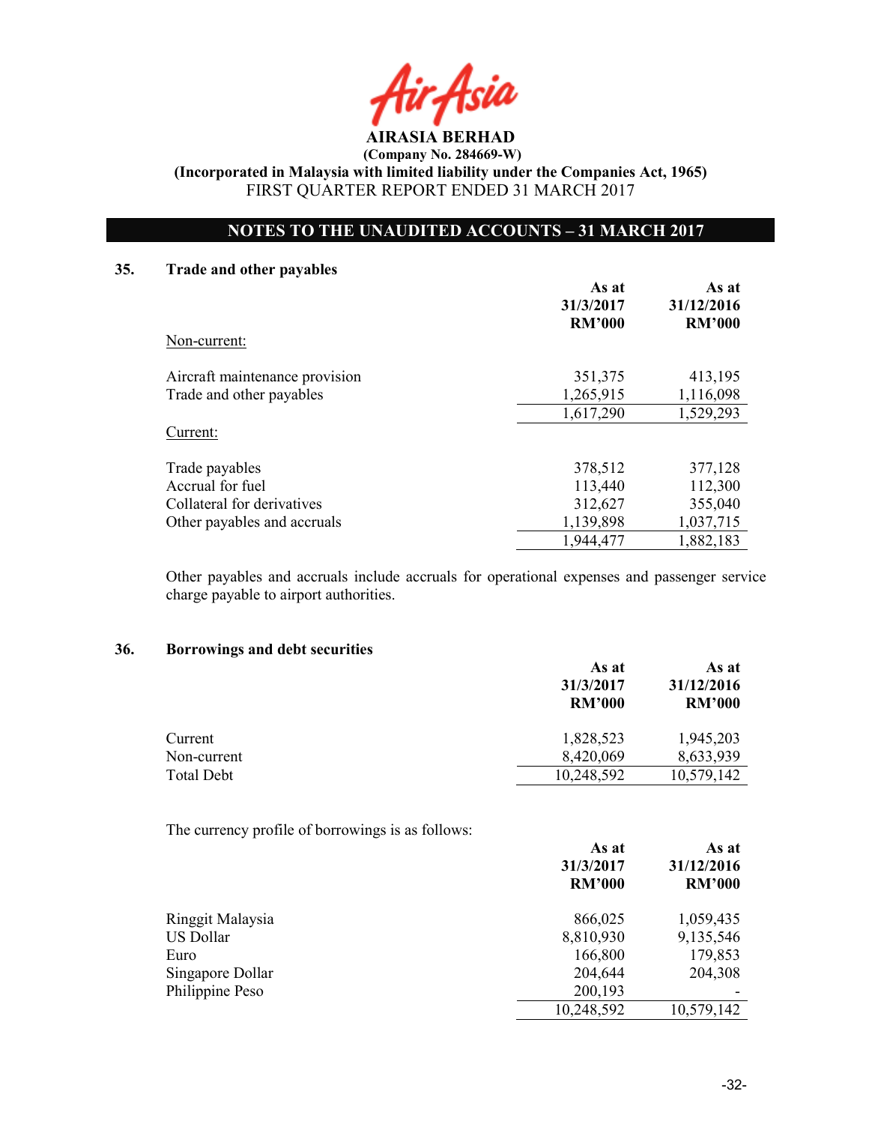AIRASIA BERHAD

(Company No. 284669-W)

(Incorporated in Malaysia with limited liability under the Companies Act, 1965) FIRST QUARTER REPORT ENDED 31 MARCH 2017

# NOTES TO THE UNAUDITED ACCOUNTS – 31 MARCH 2017

#### 35. Trade and other payables

|                                | As at<br>31/3/2017<br><b>RM'000</b> | As at<br>31/12/2016<br><b>RM'000</b> |
|--------------------------------|-------------------------------------|--------------------------------------|
| Non-current:                   |                                     |                                      |
| Aircraft maintenance provision | 351,375                             | 413,195                              |
| Trade and other payables       | 1,265,915                           | 1,116,098                            |
|                                | 1,617,290                           | 1,529,293                            |
| Current:                       |                                     |                                      |
| Trade payables                 | 378,512                             | 377,128                              |
| Accrual for fuel               | 113,440                             | 112,300                              |
| Collateral for derivatives     | 312,627                             | 355,040                              |
| Other payables and accruals    | 1,139,898                           | 1,037,715                            |
|                                | 1,944,477                           | 1,882,183                            |

Other payables and accruals include accruals for operational expenses and passenger service charge payable to airport authorities.

#### 36. Borrowings and debt securities

|                   | As at<br>31/3/2017<br><b>RM'000</b> | As at<br>31/12/2016<br><b>RM'000</b> |  |
|-------------------|-------------------------------------|--------------------------------------|--|
| Current           | 1,828,523                           | 1,945,203                            |  |
| Non-current       | 8,420,069                           | 8,633,939                            |  |
| <b>Total Debt</b> | 10,248,592                          | 10,579,142                           |  |

The currency profile of borrowings is as follows:

|                  | As at<br>31/3/2017<br><b>RM'000</b> | As at<br>31/12/2016<br><b>RM'000</b> |
|------------------|-------------------------------------|--------------------------------------|
| Ringgit Malaysia | 866,025                             | 1,059,435                            |
| US Dollar        | 8,810,930                           | 9,135,546                            |
| Euro             | 166,800                             | 179,853                              |
| Singapore Dollar | 204,644                             | 204,308                              |
| Philippine Peso  | 200,193                             |                                      |
|                  | 10,248,592                          | 10,579,142                           |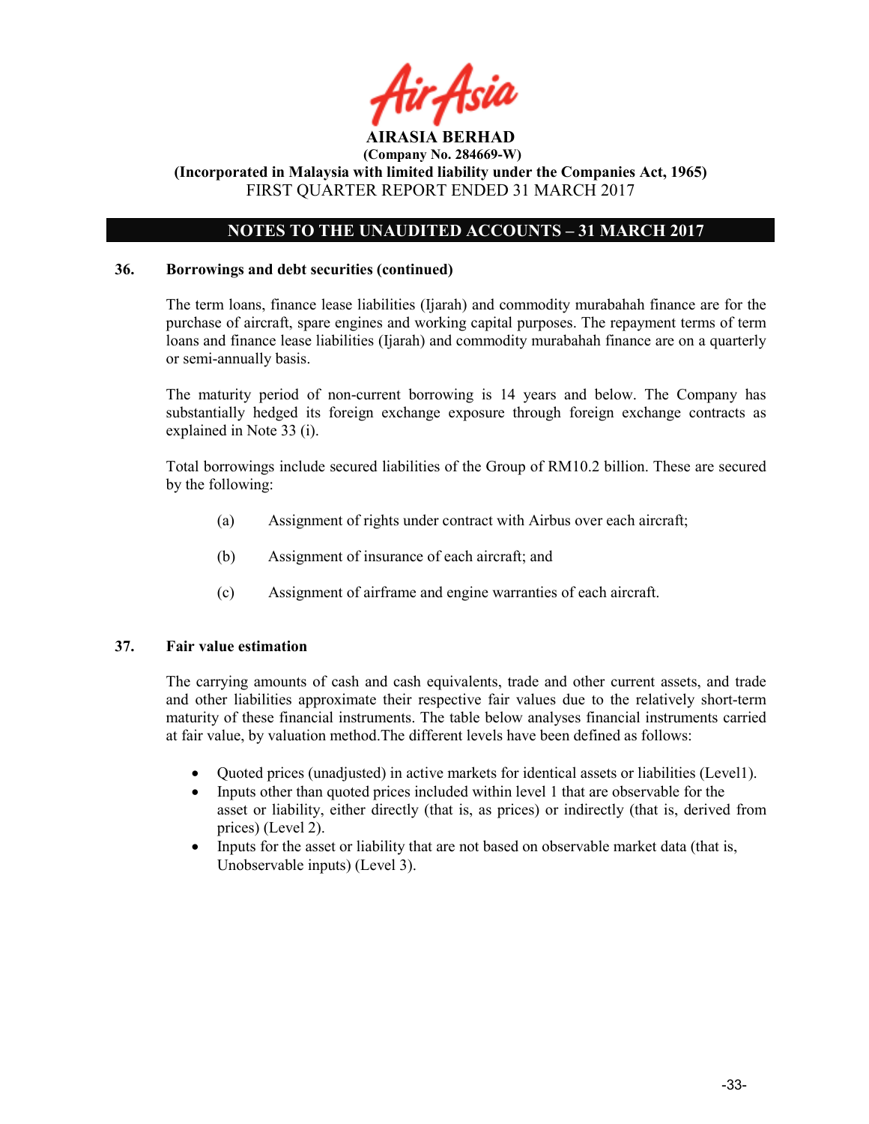

# NOTES TO THE UNAUDITED ACCOUNTS – 31 MARCH 2017

#### 36. Borrowings and debt securities (continued)

The term loans, finance lease liabilities (Ijarah) and commodity murabahah finance are for the purchase of aircraft, spare engines and working capital purposes. The repayment terms of term loans and finance lease liabilities (Ijarah) and commodity murabahah finance are on a quarterly or semi-annually basis.

The maturity period of non-current borrowing is 14 years and below. The Company has substantially hedged its foreign exchange exposure through foreign exchange contracts as explained in Note 33 (i).

Total borrowings include secured liabilities of the Group of RM10.2 billion. These are secured by the following:

- (a) Assignment of rights under contract with Airbus over each aircraft;
- (b) Assignment of insurance of each aircraft; and
- (c) Assignment of airframe and engine warranties of each aircraft.

#### 37. Fair value estimation

The carrying amounts of cash and cash equivalents, trade and other current assets, and trade and other liabilities approximate their respective fair values due to the relatively short-term maturity of these financial instruments. The table below analyses financial instruments carried at fair value, by valuation method.The different levels have been defined as follows:

- Quoted prices (unadjusted) in active markets for identical assets or liabilities (Level1).
- Inputs other than quoted prices included within level 1 that are observable for the asset or liability, either directly (that is, as prices) or indirectly (that is, derived from prices) (Level 2).
- Inputs for the asset or liability that are not based on observable market data (that is, Unobservable inputs) (Level 3).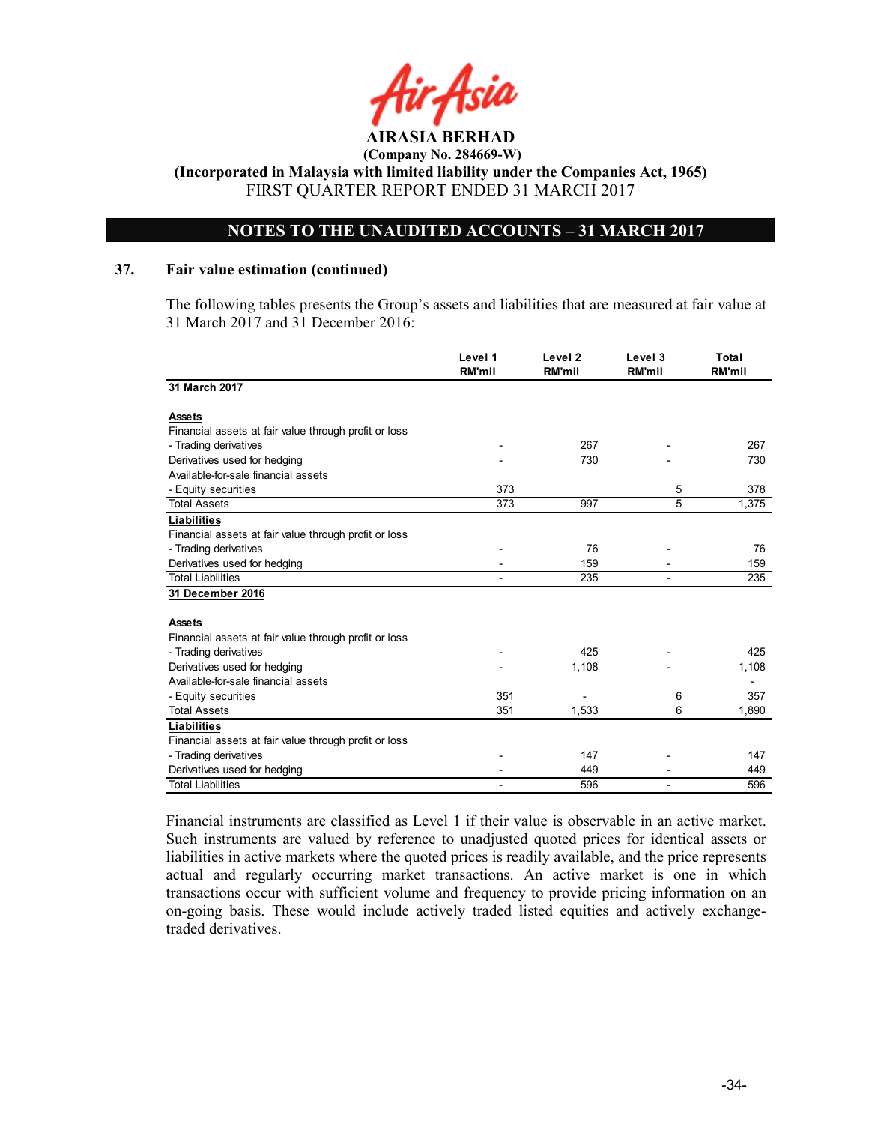

# NOTES TO THE UNAUDITED ACCOUNTS – 31 MARCH 2017

#### 37. Fair value estimation (continued)

The following tables presents the Group's assets and liabilities that are measured at fair value at 31 March 2017 and 31 December 2016:

|                                                       | Level 1<br><b>RM'mil</b> | Level <sub>2</sub><br><b>RM'mil</b> | Level 3<br><b>RM'mil</b> | Total<br><b>RM'mil</b> |
|-------------------------------------------------------|--------------------------|-------------------------------------|--------------------------|------------------------|
| 31 March 2017                                         |                          |                                     |                          |                        |
| <b>Assets</b>                                         |                          |                                     |                          |                        |
| Financial assets at fair value through profit or loss |                          |                                     |                          |                        |
| - Trading derivatives                                 |                          | 267                                 |                          | 267                    |
| Derivatives used for hedging                          |                          | 730                                 |                          | 730                    |
| Available-for-sale financial assets                   |                          |                                     |                          |                        |
| - Equity securities                                   | 373                      |                                     | 5                        | 378                    |
| <b>Total Assets</b>                                   | 373                      | 997                                 | 5                        | 1,375                  |
| <b>Liabilities</b>                                    |                          |                                     |                          |                        |
| Financial assets at fair value through profit or loss |                          |                                     |                          |                        |
| - Trading derivatives                                 |                          | 76                                  |                          | 76                     |
| Derivatives used for hedging                          |                          | 159                                 |                          | 159                    |
| <b>Total Liabilities</b>                              |                          | 235                                 |                          | 235                    |
| 31 December 2016                                      |                          |                                     |                          |                        |
| <b>Assets</b>                                         |                          |                                     |                          |                        |
| Financial assets at fair value through profit or loss |                          |                                     |                          |                        |
| - Trading derivatives                                 |                          | 425                                 |                          | 425                    |
| Derivatives used for hedging                          |                          | 1,108                               |                          | 1,108                  |
| Available-for-sale financial assets                   |                          |                                     |                          |                        |
| - Equity securities                                   | 351                      |                                     | 6                        | 357                    |
| <b>Total Assets</b>                                   | 351                      | 1,533                               | 6                        | 1,890                  |
| Liabilities                                           |                          |                                     |                          |                        |
| Financial assets at fair value through profit or loss |                          |                                     |                          |                        |
| - Trading derivatives                                 |                          | 147                                 |                          | 147                    |
| Derivatives used for hedging                          |                          | 449                                 |                          | 449                    |
| <b>Total Liabilities</b>                              |                          | 596                                 |                          | 596                    |

Financial instruments are classified as Level 1 if their value is observable in an active market. Such instruments are valued by reference to unadjusted quoted prices for identical assets or liabilities in active markets where the quoted prices is readily available, and the price represents actual and regularly occurring market transactions. An active market is one in which transactions occur with sufficient volume and frequency to provide pricing information on an on-going basis. These would include actively traded listed equities and actively exchangetraded derivatives.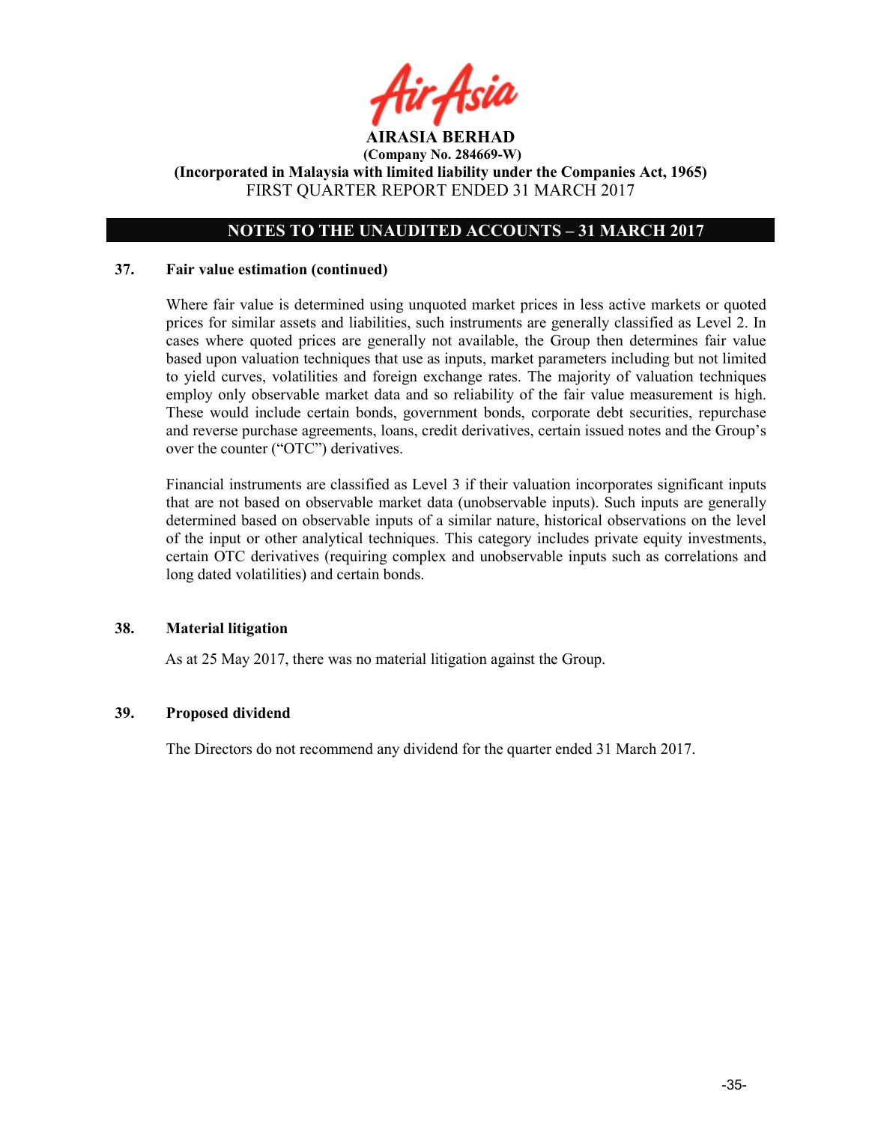

# NOTES TO THE UNAUDITED ACCOUNTS – 31 MARCH 2017

#### 37. Fair value estimation (continued)

Where fair value is determined using unquoted market prices in less active markets or quoted prices for similar assets and liabilities, such instruments are generally classified as Level 2. In cases where quoted prices are generally not available, the Group then determines fair value based upon valuation techniques that use as inputs, market parameters including but not limited to yield curves, volatilities and foreign exchange rates. The majority of valuation techniques employ only observable market data and so reliability of the fair value measurement is high. These would include certain bonds, government bonds, corporate debt securities, repurchase and reverse purchase agreements, loans, credit derivatives, certain issued notes and the Group's over the counter ("OTC") derivatives.

Financial instruments are classified as Level 3 if their valuation incorporates significant inputs that are not based on observable market data (unobservable inputs). Such inputs are generally determined based on observable inputs of a similar nature, historical observations on the level of the input or other analytical techniques. This category includes private equity investments, certain OTC derivatives (requiring complex and unobservable inputs such as correlations and long dated volatilities) and certain bonds.

#### 38. Material litigation

As at 25 May 2017, there was no material litigation against the Group.

#### 39. Proposed dividend

The Directors do not recommend any dividend for the quarter ended 31 March 2017.